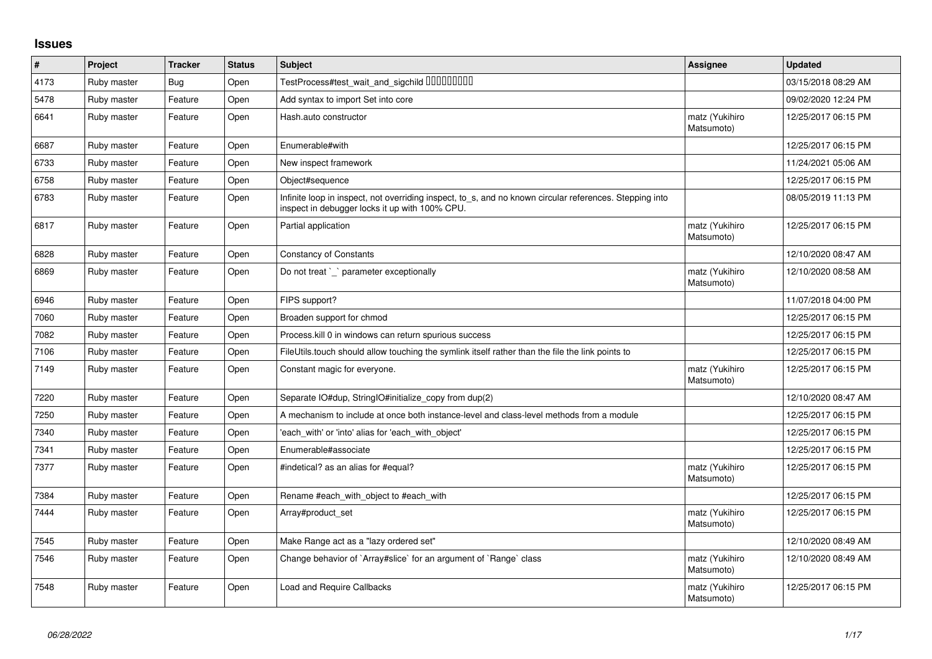## **Issues**

| $\vert$ # | Project     | <b>Tracker</b> | <b>Status</b> | <b>Subject</b>                                                                                                                                            | Assignee                     | <b>Updated</b>      |
|-----------|-------------|----------------|---------------|-----------------------------------------------------------------------------------------------------------------------------------------------------------|------------------------------|---------------------|
| 4173      | Ruby master | Bug            | Open          | TestProcess#test_wait_and_sigchild DDDDDDDD                                                                                                               |                              | 03/15/2018 08:29 AM |
| 5478      | Ruby master | Feature        | Open          | Add syntax to import Set into core                                                                                                                        |                              | 09/02/2020 12:24 PM |
| 6641      | Ruby master | Feature        | Open          | Hash.auto constructor                                                                                                                                     | matz (Yukihiro<br>Matsumoto) | 12/25/2017 06:15 PM |
| 6687      | Ruby master | Feature        | Open          | Enumerable#with                                                                                                                                           |                              | 12/25/2017 06:15 PM |
| 6733      | Ruby master | Feature        | Open          | New inspect framework                                                                                                                                     |                              | 11/24/2021 05:06 AM |
| 6758      | Ruby master | Feature        | Open          | Object#sequence                                                                                                                                           |                              | 12/25/2017 06:15 PM |
| 6783      | Ruby master | Feature        | Open          | Infinite loop in inspect, not overriding inspect, to_s, and no known circular references. Stepping into<br>inspect in debugger locks it up with 100% CPU. |                              | 08/05/2019 11:13 PM |
| 6817      | Ruby master | Feature        | Open          | Partial application                                                                                                                                       | matz (Yukihiro<br>Matsumoto) | 12/25/2017 06:15 PM |
| 6828      | Ruby master | Feature        | Open          | <b>Constancy of Constants</b>                                                                                                                             |                              | 12/10/2020 08:47 AM |
| 6869      | Ruby master | Feature        | Open          | Do not treat `_` parameter exceptionally                                                                                                                  | matz (Yukihiro<br>Matsumoto) | 12/10/2020 08:58 AM |
| 6946      | Ruby master | Feature        | Open          | FIPS support?                                                                                                                                             |                              | 11/07/2018 04:00 PM |
| 7060      | Ruby master | Feature        | Open          | Broaden support for chmod                                                                                                                                 |                              | 12/25/2017 06:15 PM |
| 7082      | Ruby master | Feature        | Open          | Process. kill 0 in windows can return spurious success                                                                                                    |                              | 12/25/2017 06:15 PM |
| 7106      | Ruby master | Feature        | Open          | FileUtils.touch should allow touching the symlink itself rather than the file the link points to                                                          |                              | 12/25/2017 06:15 PM |
| 7149      | Ruby master | Feature        | Open          | Constant magic for everyone.                                                                                                                              | matz (Yukihiro<br>Matsumoto) | 12/25/2017 06:15 PM |
| 7220      | Ruby master | Feature        | Open          | Separate IO#dup, StringIO#initialize_copy from dup(2)                                                                                                     |                              | 12/10/2020 08:47 AM |
| 7250      | Ruby master | Feature        | Open          | A mechanism to include at once both instance-level and class-level methods from a module                                                                  |                              | 12/25/2017 06:15 PM |
| 7340      | Ruby master | Feature        | Open          | 'each_with' or 'into' alias for 'each_with_object'                                                                                                        |                              | 12/25/2017 06:15 PM |
| 7341      | Ruby master | Feature        | Open          | Enumerable#associate                                                                                                                                      |                              | 12/25/2017 06:15 PM |
| 7377      | Ruby master | Feature        | Open          | #indetical? as an alias for #equal?                                                                                                                       | matz (Yukihiro<br>Matsumoto) | 12/25/2017 06:15 PM |
| 7384      | Ruby master | Feature        | Open          | Rename #each with object to #each with                                                                                                                    |                              | 12/25/2017 06:15 PM |
| 7444      | Ruby master | Feature        | Open          | Array#product set                                                                                                                                         | matz (Yukihiro<br>Matsumoto) | 12/25/2017 06:15 PM |
| 7545      | Ruby master | Feature        | Open          | Make Range act as a "lazy ordered set"                                                                                                                    |                              | 12/10/2020 08:49 AM |
| 7546      | Ruby master | Feature        | Open          | Change behavior of `Array#slice` for an argument of `Range` class                                                                                         | matz (Yukihiro<br>Matsumoto) | 12/10/2020 08:49 AM |
| 7548      | Ruby master | Feature        | Open          | Load and Require Callbacks                                                                                                                                | matz (Yukihiro<br>Matsumoto) | 12/25/2017 06:15 PM |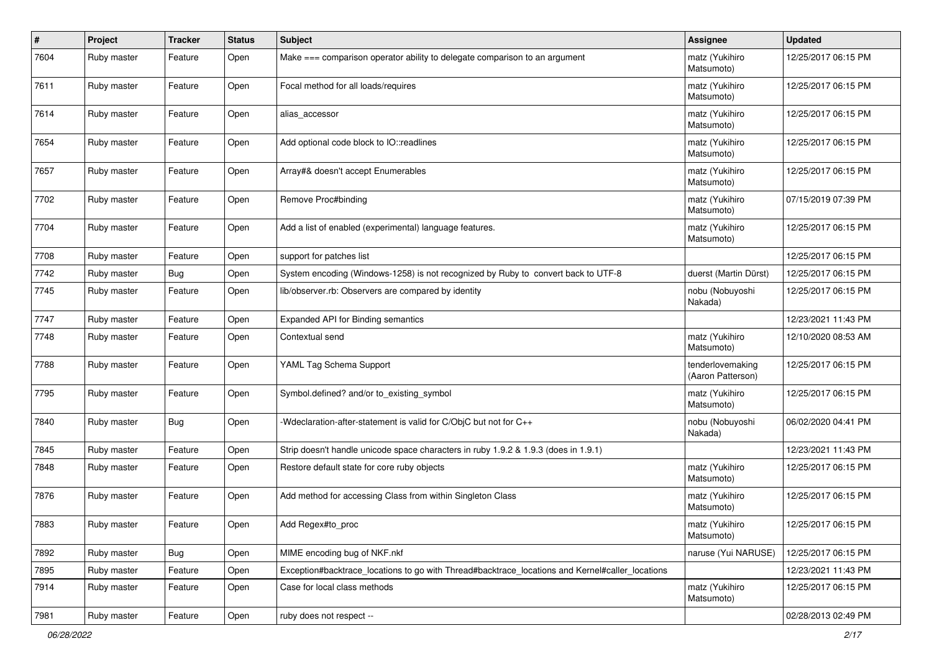| $\sharp$ | Project     | <b>Tracker</b> | <b>Status</b> | Subject                                                                                         | <b>Assignee</b>                       | <b>Updated</b>      |
|----------|-------------|----------------|---------------|-------------------------------------------------------------------------------------------------|---------------------------------------|---------------------|
| 7604     | Ruby master | Feature        | Open          | Make === comparison operator ability to delegate comparison to an argument                      | matz (Yukihiro<br>Matsumoto)          | 12/25/2017 06:15 PM |
| 7611     | Ruby master | Feature        | Open          | Focal method for all loads/requires                                                             | matz (Yukihiro<br>Matsumoto)          | 12/25/2017 06:15 PM |
| 7614     | Ruby master | Feature        | Open          | alias_accessor                                                                                  | matz (Yukihiro<br>Matsumoto)          | 12/25/2017 06:15 PM |
| 7654     | Ruby master | Feature        | Open          | Add optional code block to IO::readlines                                                        | matz (Yukihiro<br>Matsumoto)          | 12/25/2017 06:15 PM |
| 7657     | Ruby master | Feature        | Open          | Array#& doesn't accept Enumerables                                                              | matz (Yukihiro<br>Matsumoto)          | 12/25/2017 06:15 PM |
| 7702     | Ruby master | Feature        | Open          | Remove Proc#binding                                                                             | matz (Yukihiro<br>Matsumoto)          | 07/15/2019 07:39 PM |
| 7704     | Ruby master | Feature        | Open          | Add a list of enabled (experimental) language features.                                         | matz (Yukihiro<br>Matsumoto)          | 12/25/2017 06:15 PM |
| 7708     | Ruby master | Feature        | Open          | support for patches list                                                                        |                                       | 12/25/2017 06:15 PM |
| 7742     | Ruby master | <b>Bug</b>     | Open          | System encoding (Windows-1258) is not recognized by Ruby to convert back to UTF-8               | duerst (Martin Dürst)                 | 12/25/2017 06:15 PM |
| 7745     | Ruby master | Feature        | Open          | lib/observer.rb: Observers are compared by identity                                             | nobu (Nobuyoshi<br>Nakada)            | 12/25/2017 06:15 PM |
| 7747     | Ruby master | Feature        | Open          | Expanded API for Binding semantics                                                              |                                       | 12/23/2021 11:43 PM |
| 7748     | Ruby master | Feature        | Open          | Contextual send                                                                                 | matz (Yukihiro<br>Matsumoto)          | 12/10/2020 08:53 AM |
| 7788     | Ruby master | Feature        | Open          | YAML Tag Schema Support                                                                         | tenderlovemaking<br>(Aaron Patterson) | 12/25/2017 06:15 PM |
| 7795     | Ruby master | Feature        | Open          | Symbol.defined? and/or to_existing_symbol                                                       | matz (Yukihiro<br>Matsumoto)          | 12/25/2017 06:15 PM |
| 7840     | Ruby master | Bug            | Open          | -Wdeclaration-after-statement is valid for C/ObjC but not for C++                               | nobu (Nobuyoshi<br>Nakada)            | 06/02/2020 04:41 PM |
| 7845     | Ruby master | Feature        | Open          | Strip doesn't handle unicode space characters in ruby 1.9.2 & 1.9.3 (does in 1.9.1)             |                                       | 12/23/2021 11:43 PM |
| 7848     | Ruby master | Feature        | Open          | Restore default state for core ruby objects                                                     | matz (Yukihiro<br>Matsumoto)          | 12/25/2017 06:15 PM |
| 7876     | Ruby master | Feature        | Open          | Add method for accessing Class from within Singleton Class                                      | matz (Yukihiro<br>Matsumoto)          | 12/25/2017 06:15 PM |
| 7883     | Ruby master | Feature        | Open          | Add Regex#to_proc                                                                               | matz (Yukihiro<br>Matsumoto)          | 12/25/2017 06:15 PM |
| 7892     | Ruby master | <b>Bug</b>     | Open          | MIME encoding bug of NKF.nkf                                                                    | naruse (Yui NARUSE)                   | 12/25/2017 06:15 PM |
| 7895     | Ruby master | Feature        | Open          | Exception#backtrace_locations to go with Thread#backtrace_locations and Kernel#caller_locations |                                       | 12/23/2021 11:43 PM |
| 7914     | Ruby master | Feature        | Open          | Case for local class methods                                                                    | matz (Yukihiro<br>Matsumoto)          | 12/25/2017 06:15 PM |
| 7981     | Ruby master | Feature        | Open          | ruby does not respect --                                                                        |                                       | 02/28/2013 02:49 PM |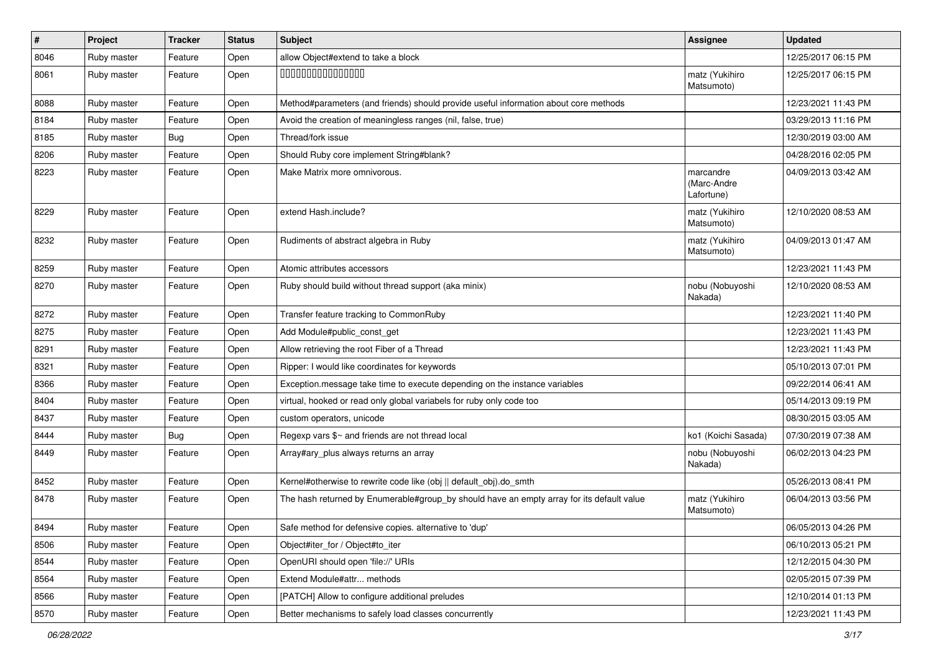| $\vert$ # | Project     | <b>Tracker</b> | <b>Status</b> | Subject                                                                                   | <b>Assignee</b>                        | <b>Updated</b>      |
|-----------|-------------|----------------|---------------|-------------------------------------------------------------------------------------------|----------------------------------------|---------------------|
| 8046      | Ruby master | Feature        | Open          | allow Object#extend to take a block                                                       |                                        | 12/25/2017 06:15 PM |
| 8061      | Ruby master | Feature        | Open          | 000000000000000                                                                           | matz (Yukihiro<br>Matsumoto)           | 12/25/2017 06:15 PM |
| 8088      | Ruby master | Feature        | Open          | Method#parameters (and friends) should provide useful information about core methods      |                                        | 12/23/2021 11:43 PM |
| 8184      | Ruby master | Feature        | Open          | Avoid the creation of meaningless ranges (nil, false, true)                               |                                        | 03/29/2013 11:16 PM |
| 8185      | Ruby master | <b>Bug</b>     | Open          | Thread/fork issue                                                                         |                                        | 12/30/2019 03:00 AM |
| 8206      | Ruby master | Feature        | Open          | Should Ruby core implement String#blank?                                                  |                                        | 04/28/2016 02:05 PM |
| 8223      | Ruby master | Feature        | Open          | Make Matrix more omnivorous.                                                              | marcandre<br>(Marc-Andre<br>Lafortune) | 04/09/2013 03:42 AM |
| 8229      | Ruby master | Feature        | Open          | extend Hash.include?                                                                      | matz (Yukihiro<br>Matsumoto)           | 12/10/2020 08:53 AM |
| 8232      | Ruby master | Feature        | Open          | Rudiments of abstract algebra in Ruby                                                     | matz (Yukihiro<br>Matsumoto)           | 04/09/2013 01:47 AM |
| 8259      | Ruby master | Feature        | Open          | Atomic attributes accessors                                                               |                                        | 12/23/2021 11:43 PM |
| 8270      | Ruby master | Feature        | Open          | Ruby should build without thread support (aka minix)                                      | nobu (Nobuyoshi<br>Nakada)             | 12/10/2020 08:53 AM |
| 8272      | Ruby master | Feature        | Open          | Transfer feature tracking to CommonRuby                                                   |                                        | 12/23/2021 11:40 PM |
| 8275      | Ruby master | Feature        | Open          | Add Module#public_const_get                                                               |                                        | 12/23/2021 11:43 PM |
| 8291      | Ruby master | Feature        | Open          | Allow retrieving the root Fiber of a Thread                                               |                                        | 12/23/2021 11:43 PM |
| 8321      | Ruby master | Feature        | Open          | Ripper: I would like coordinates for keywords                                             |                                        | 05/10/2013 07:01 PM |
| 8366      | Ruby master | Feature        | Open          | Exception.message take time to execute depending on the instance variables                |                                        | 09/22/2014 06:41 AM |
| 8404      | Ruby master | Feature        | Open          | virtual, hooked or read only global variabels for ruby only code too                      |                                        | 05/14/2013 09:19 PM |
| 8437      | Ruby master | Feature        | Open          | custom operators, unicode                                                                 |                                        | 08/30/2015 03:05 AM |
| 8444      | Ruby master | Bug            | Open          | Regexp vars \$~ and friends are not thread local                                          | ko1 (Koichi Sasada)                    | 07/30/2019 07:38 AM |
| 8449      | Ruby master | Feature        | Open          | Array#ary_plus always returns an array                                                    | nobu (Nobuyoshi<br>Nakada)             | 06/02/2013 04:23 PM |
| 8452      | Ruby master | Feature        | Open          | Kernel#otherwise to rewrite code like (obj    default obj).do smth                        |                                        | 05/26/2013 08:41 PM |
| 8478      | Ruby master | Feature        | Open          | The hash returned by Enumerable#group_by should have an empty array for its default value | matz (Yukihiro<br>Matsumoto)           | 06/04/2013 03:56 PM |
| 8494      | Ruby master | Feature        | Open          | Safe method for defensive copies. alternative to 'dup'                                    |                                        | 06/05/2013 04:26 PM |
| 8506      | Ruby master | Feature        | Open          | Object#iter_for / Object#to_iter                                                          |                                        | 06/10/2013 05:21 PM |
| 8544      | Ruby master | Feature        | Open          | OpenURI should open 'file://' URIs                                                        |                                        | 12/12/2015 04:30 PM |
| 8564      | Ruby master | Feature        | Open          | Extend Module#attr methods                                                                |                                        | 02/05/2015 07:39 PM |
| 8566      | Ruby master | Feature        | Open          | [PATCH] Allow to configure additional preludes                                            |                                        | 12/10/2014 01:13 PM |
| 8570      | Ruby master | Feature        | Open          | Better mechanisms to safely load classes concurrently                                     |                                        | 12/23/2021 11:43 PM |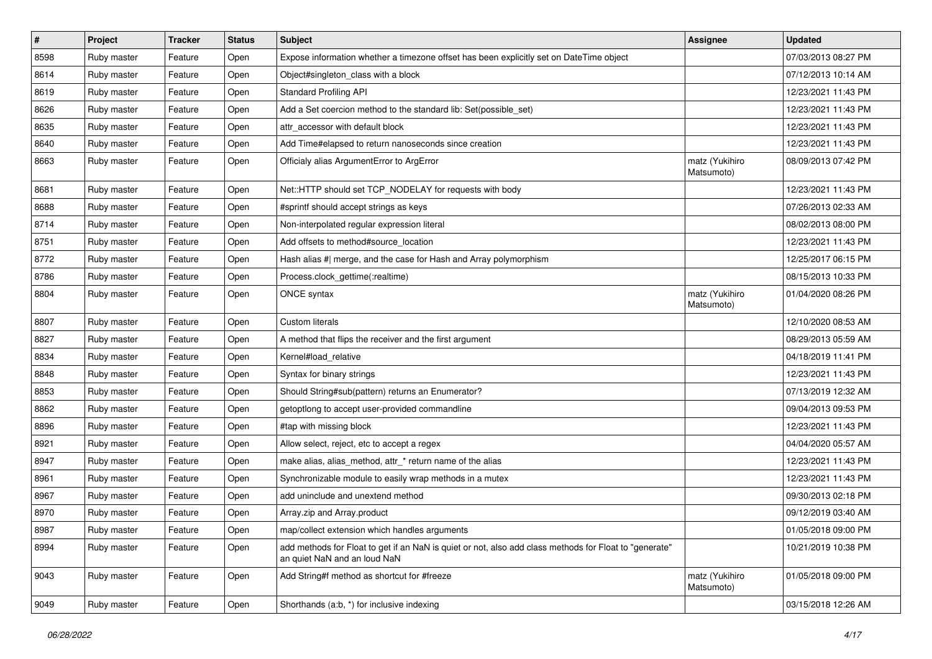| #    | Project     | <b>Tracker</b> | <b>Status</b> | <b>Subject</b>                                                                                                                         | <b>Assignee</b>              | <b>Updated</b>      |
|------|-------------|----------------|---------------|----------------------------------------------------------------------------------------------------------------------------------------|------------------------------|---------------------|
| 8598 | Ruby master | Feature        | Open          | Expose information whether a timezone offset has been explicitly set on DateTime object                                                |                              | 07/03/2013 08:27 PM |
| 8614 | Ruby master | Feature        | Open          | Object#singleton_class with a block                                                                                                    |                              | 07/12/2013 10:14 AM |
| 8619 | Ruby master | Feature        | Open          | <b>Standard Profiling API</b>                                                                                                          |                              | 12/23/2021 11:43 PM |
| 8626 | Ruby master | Feature        | Open          | Add a Set coercion method to the standard lib: Set(possible_set)                                                                       |                              | 12/23/2021 11:43 PM |
| 8635 | Ruby master | Feature        | Open          | attr accessor with default block                                                                                                       |                              | 12/23/2021 11:43 PM |
| 8640 | Ruby master | Feature        | Open          | Add Time#elapsed to return nanoseconds since creation                                                                                  |                              | 12/23/2021 11:43 PM |
| 8663 | Ruby master | Feature        | Open          | Officialy alias ArgumentError to ArgError                                                                                              | matz (Yukihiro<br>Matsumoto) | 08/09/2013 07:42 PM |
| 8681 | Ruby master | Feature        | Open          | Net::HTTP should set TCP_NODELAY for requests with body                                                                                |                              | 12/23/2021 11:43 PM |
| 8688 | Ruby master | Feature        | Open          | #sprintf should accept strings as keys                                                                                                 |                              | 07/26/2013 02:33 AM |
| 8714 | Ruby master | Feature        | Open          | Non-interpolated regular expression literal                                                                                            |                              | 08/02/2013 08:00 PM |
| 8751 | Ruby master | Feature        | Open          | Add offsets to method#source_location                                                                                                  |                              | 12/23/2021 11:43 PM |
| 8772 | Ruby master | Feature        | Open          | Hash alias #  merge, and the case for Hash and Array polymorphism                                                                      |                              | 12/25/2017 06:15 PM |
| 8786 | Ruby master | Feature        | Open          | Process.clock_gettime(:realtime)                                                                                                       |                              | 08/15/2013 10:33 PM |
| 8804 | Ruby master | Feature        | Open          | ONCE syntax                                                                                                                            | matz (Yukihiro<br>Matsumoto) | 01/04/2020 08:26 PM |
| 8807 | Ruby master | Feature        | Open          | <b>Custom literals</b>                                                                                                                 |                              | 12/10/2020 08:53 AM |
| 8827 | Ruby master | Feature        | Open          | A method that flips the receiver and the first argument                                                                                |                              | 08/29/2013 05:59 AM |
| 8834 | Ruby master | Feature        | Open          | Kernel#load_relative                                                                                                                   |                              | 04/18/2019 11:41 PM |
| 8848 | Ruby master | Feature        | Open          | Syntax for binary strings                                                                                                              |                              | 12/23/2021 11:43 PM |
| 8853 | Ruby master | Feature        | Open          | Should String#sub(pattern) returns an Enumerator?                                                                                      |                              | 07/13/2019 12:32 AM |
| 8862 | Ruby master | Feature        | Open          | getoptlong to accept user-provided commandline                                                                                         |                              | 09/04/2013 09:53 PM |
| 8896 | Ruby master | Feature        | Open          | #tap with missing block                                                                                                                |                              | 12/23/2021 11:43 PM |
| 8921 | Ruby master | Feature        | Open          | Allow select, reject, etc to accept a regex                                                                                            |                              | 04/04/2020 05:57 AM |
| 8947 | Ruby master | Feature        | Open          | make alias, alias_method, attr_* return name of the alias                                                                              |                              | 12/23/2021 11:43 PM |
| 8961 | Ruby master | Feature        | Open          | Synchronizable module to easily wrap methods in a mutex                                                                                |                              | 12/23/2021 11:43 PM |
| 8967 | Ruby master | Feature        | Open          | add uninclude and unextend method                                                                                                      |                              | 09/30/2013 02:18 PM |
| 8970 | Ruby master | Feature        | Open          | Array.zip and Array.product                                                                                                            |                              | 09/12/2019 03:40 AM |
| 8987 | Ruby master | Feature        | Open          | map/collect extension which handles arguments                                                                                          |                              | 01/05/2018 09:00 PM |
| 8994 | Ruby master | Feature        | Open          | add methods for Float to get if an NaN is quiet or not, also add class methods for Float to "generate"<br>an quiet NaN and an loud NaN |                              | 10/21/2019 10:38 PM |
| 9043 | Ruby master | Feature        | Open          | Add String#f method as shortcut for #freeze                                                                                            | matz (Yukihiro<br>Matsumoto) | 01/05/2018 09:00 PM |
| 9049 | Ruby master | Feature        | Open          | Shorthands (a:b, *) for inclusive indexing                                                                                             |                              | 03/15/2018 12:26 AM |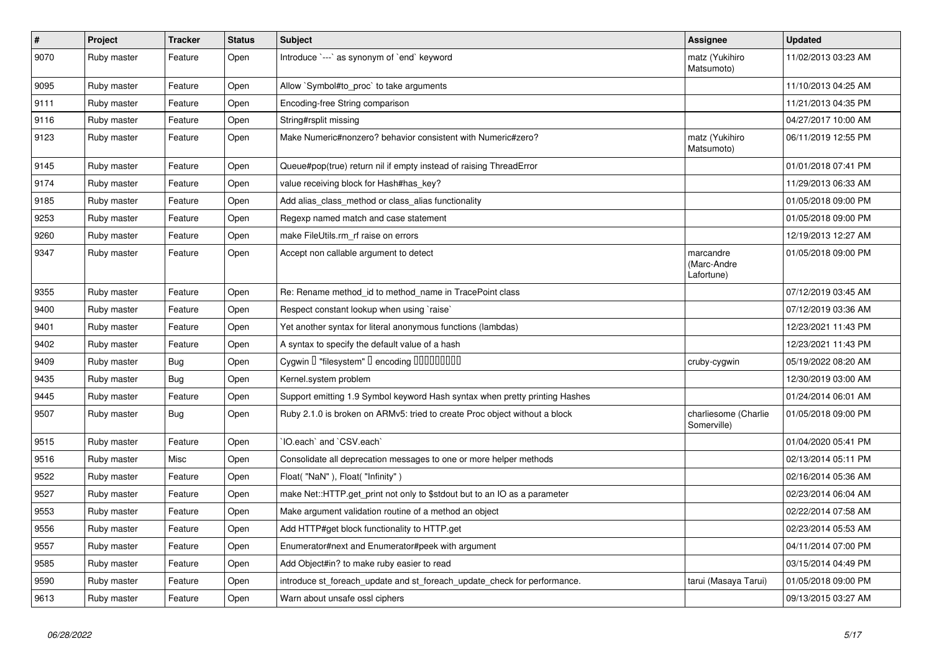| $\pmb{\#}$ | Project     | <b>Tracker</b> | <b>Status</b> | <b>Subject</b>                                                              | Assignee                               | <b>Updated</b>      |
|------------|-------------|----------------|---------------|-----------------------------------------------------------------------------|----------------------------------------|---------------------|
| 9070       | Ruby master | Feature        | Open          | Introduce `---` as synonym of `end` keyword                                 | matz (Yukihiro<br>Matsumoto)           | 11/02/2013 03:23 AM |
| 9095       | Ruby master | Feature        | Open          | Allow `Symbol#to proc` to take arguments                                    |                                        | 11/10/2013 04:25 AM |
| 9111       | Ruby master | Feature        | Open          | Encoding-free String comparison                                             |                                        | 11/21/2013 04:35 PM |
| 9116       | Ruby master | Feature        | Open          | String#rsplit missing                                                       |                                        | 04/27/2017 10:00 AM |
| 9123       | Ruby master | Feature        | Open          | Make Numeric#nonzero? behavior consistent with Numeric#zero?                | matz (Yukihiro<br>Matsumoto)           | 06/11/2019 12:55 PM |
| 9145       | Ruby master | Feature        | Open          | Queue#pop(true) return nil if empty instead of raising ThreadError          |                                        | 01/01/2018 07:41 PM |
| 9174       | Ruby master | Feature        | Open          | value receiving block for Hash#has_key?                                     |                                        | 11/29/2013 06:33 AM |
| 9185       | Ruby master | Feature        | Open          | Add alias class method or class alias functionality                         |                                        | 01/05/2018 09:00 PM |
| 9253       | Ruby master | Feature        | Open          | Regexp named match and case statement                                       |                                        | 01/05/2018 09:00 PM |
| 9260       | Ruby master | Feature        | Open          | make FileUtils.rm rf raise on errors                                        |                                        | 12/19/2013 12:27 AM |
| 9347       | Ruby master | Feature        | Open          | Accept non callable argument to detect                                      | marcandre<br>(Marc-Andre<br>Lafortune) | 01/05/2018 09:00 PM |
| 9355       | Ruby master | Feature        | Open          | Re: Rename method_id to method_name in TracePoint class                     |                                        | 07/12/2019 03:45 AM |
| 9400       | Ruby master | Feature        | Open          | Respect constant lookup when using `raise`                                  |                                        | 07/12/2019 03:36 AM |
| 9401       | Ruby master | Feature        | Open          | Yet another syntax for literal anonymous functions (lambdas)                |                                        | 12/23/2021 11:43 PM |
| 9402       | Ruby master | Feature        | Open          | A syntax to specify the default value of a hash                             |                                        | 12/23/2021 11:43 PM |
| 9409       | Ruby master | <b>Bug</b>     | Open          | Cygwin I "filesystem" I encoding IIIIIIIIIIIII                              | cruby-cygwin                           | 05/19/2022 08:20 AM |
| 9435       | Ruby master | Bug            | Open          | Kernel.system problem                                                       |                                        | 12/30/2019 03:00 AM |
| 9445       | Ruby master | Feature        | Open          | Support emitting 1.9 Symbol keyword Hash syntax when pretty printing Hashes |                                        | 01/24/2014 06:01 AM |
| 9507       | Ruby master | <b>Bug</b>     | Open          | Ruby 2.1.0 is broken on ARMv5: tried to create Proc object without a block  | charliesome (Charlie<br>Somerville)    | 01/05/2018 09:00 PM |
| 9515       | Ruby master | Feature        | Open          | IO.each` and `CSV.each`                                                     |                                        | 01/04/2020 05:41 PM |
| 9516       | Ruby master | Misc           | Open          | Consolidate all deprecation messages to one or more helper methods          |                                        | 02/13/2014 05:11 PM |
| 9522       | Ruby master | Feature        | Open          | Float("NaN"), Float("Infinity")                                             |                                        | 02/16/2014 05:36 AM |
| 9527       | Ruby master | Feature        | Open          | make Net::HTTP.get_print not only to \$stdout but to an IO as a parameter   |                                        | 02/23/2014 06:04 AM |
| 9553       | Ruby master | Feature        | Open          | Make argument validation routine of a method an object                      |                                        | 02/22/2014 07:58 AM |
| 9556       | Ruby master | Feature        | Open          | Add HTTP#get block functionality to HTTP.get                                |                                        | 02/23/2014 05:53 AM |
| 9557       | Ruby master | Feature        | Open          | Enumerator#next and Enumerator#peek with argument                           |                                        | 04/11/2014 07:00 PM |
| 9585       | Ruby master | Feature        | Open          | Add Object#in? to make ruby easier to read                                  |                                        | 03/15/2014 04:49 PM |
| 9590       | Ruby master | Feature        | Open          | introduce st foreach update and st foreach update check for performance.    | tarui (Masaya Tarui)                   | 01/05/2018 09:00 PM |
| 9613       | Ruby master | Feature        | Open          | Warn about unsafe ossl ciphers                                              |                                        | 09/13/2015 03:27 AM |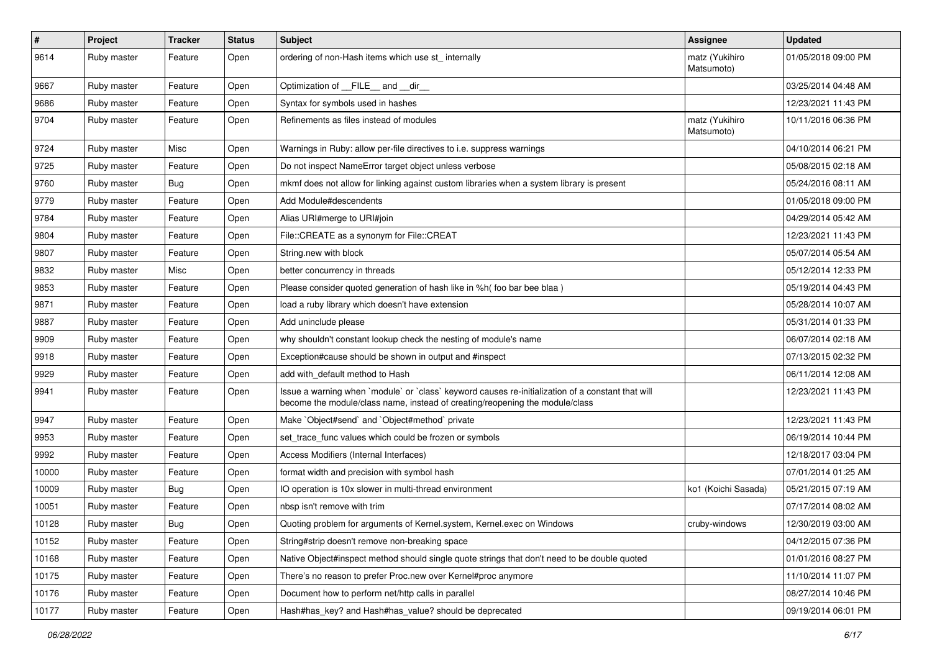| $\sharp$ | Project     | <b>Tracker</b> | <b>Status</b> | <b>Subject</b>                                                                                                                                                                    | <b>Assignee</b>              | <b>Updated</b>      |
|----------|-------------|----------------|---------------|-----------------------------------------------------------------------------------------------------------------------------------------------------------------------------------|------------------------------|---------------------|
| 9614     | Ruby master | Feature        | Open          | ordering of non-Hash items which use st_ internally                                                                                                                               | matz (Yukihiro<br>Matsumoto) | 01/05/2018 09:00 PM |
| 9667     | Ruby master | Feature        | Open          | Optimization of FILE and dir                                                                                                                                                      |                              | 03/25/2014 04:48 AM |
| 9686     | Ruby master | Feature        | Open          | Syntax for symbols used in hashes                                                                                                                                                 |                              | 12/23/2021 11:43 PM |
| 9704     | Ruby master | Feature        | Open          | Refinements as files instead of modules                                                                                                                                           | matz (Yukihiro<br>Matsumoto) | 10/11/2016 06:36 PM |
| 9724     | Ruby master | Misc           | Open          | Warnings in Ruby: allow per-file directives to i.e. suppress warnings                                                                                                             |                              | 04/10/2014 06:21 PM |
| 9725     | Ruby master | Feature        | Open          | Do not inspect NameError target object unless verbose                                                                                                                             |                              | 05/08/2015 02:18 AM |
| 9760     | Ruby master | Bug            | Open          | mkmf does not allow for linking against custom libraries when a system library is present                                                                                         |                              | 05/24/2016 08:11 AM |
| 9779     | Ruby master | Feature        | Open          | Add Module#descendents                                                                                                                                                            |                              | 01/05/2018 09:00 PM |
| 9784     | Ruby master | Feature        | Open          | Alias URI#merge to URI#join                                                                                                                                                       |                              | 04/29/2014 05:42 AM |
| 9804     | Ruby master | Feature        | Open          | File::CREATE as a synonym for File::CREAT                                                                                                                                         |                              | 12/23/2021 11:43 PM |
| 9807     | Ruby master | Feature        | Open          | String.new with block                                                                                                                                                             |                              | 05/07/2014 05:54 AM |
| 9832     | Ruby master | Misc           | Open          | better concurrency in threads                                                                                                                                                     |                              | 05/12/2014 12:33 PM |
| 9853     | Ruby master | Feature        | Open          | Please consider quoted generation of hash like in %h( foo bar bee blaa)                                                                                                           |                              | 05/19/2014 04:43 PM |
| 9871     | Ruby master | Feature        | Open          | load a ruby library which doesn't have extension                                                                                                                                  |                              | 05/28/2014 10:07 AM |
| 9887     | Ruby master | Feature        | Open          | Add uninclude please                                                                                                                                                              |                              | 05/31/2014 01:33 PM |
| 9909     | Ruby master | Feature        | Open          | why shouldn't constant lookup check the nesting of module's name                                                                                                                  |                              | 06/07/2014 02:18 AM |
| 9918     | Ruby master | Feature        | Open          | Exception#cause should be shown in output and #inspect                                                                                                                            |                              | 07/13/2015 02:32 PM |
| 9929     | Ruby master | Feature        | Open          | add with default method to Hash                                                                                                                                                   |                              | 06/11/2014 12:08 AM |
| 9941     | Ruby master | Feature        | Open          | Issue a warning when `module` or `class` keyword causes re-initialization of a constant that will<br>become the module/class name, instead of creating/reopening the module/class |                              | 12/23/2021 11:43 PM |
| 9947     | Ruby master | Feature        | Open          | Make `Object#send` and `Object#method` private                                                                                                                                    |                              | 12/23/2021 11:43 PM |
| 9953     | Ruby master | Feature        | Open          | set trace func values which could be frozen or symbols                                                                                                                            |                              | 06/19/2014 10:44 PM |
| 9992     | Ruby master | Feature        | Open          | Access Modifiers (Internal Interfaces)                                                                                                                                            |                              | 12/18/2017 03:04 PM |
| 10000    | Ruby master | Feature        | Open          | format width and precision with symbol hash                                                                                                                                       |                              | 07/01/2014 01:25 AM |
| 10009    | Ruby master | Bug            | Open          | IO operation is 10x slower in multi-thread environment                                                                                                                            | ko1 (Koichi Sasada)          | 05/21/2015 07:19 AM |
| 10051    | Ruby master | Feature        | Open          | nbsp isn't remove with trim                                                                                                                                                       |                              | 07/17/2014 08:02 AM |
| 10128    | Ruby master | Bug            | Open          | Quoting problem for arguments of Kernel.system, Kernel.exec on Windows                                                                                                            | cruby-windows                | 12/30/2019 03:00 AM |
| 10152    | Ruby master | Feature        | Open          | String#strip doesn't remove non-breaking space                                                                                                                                    |                              | 04/12/2015 07:36 PM |
| 10168    | Ruby master | Feature        | Open          | Native Object#inspect method should single quote strings that don't need to be double quoted                                                                                      |                              | 01/01/2016 08:27 PM |
| 10175    | Ruby master | Feature        | Open          | There's no reason to prefer Proc.new over Kernel#proc anymore                                                                                                                     |                              | 11/10/2014 11:07 PM |
| 10176    | Ruby master | Feature        | Open          | Document how to perform net/http calls in parallel                                                                                                                                |                              | 08/27/2014 10:46 PM |
| 10177    | Ruby master | Feature        | Open          | Hash#has_key? and Hash#has_value? should be deprecated                                                                                                                            |                              | 09/19/2014 06:01 PM |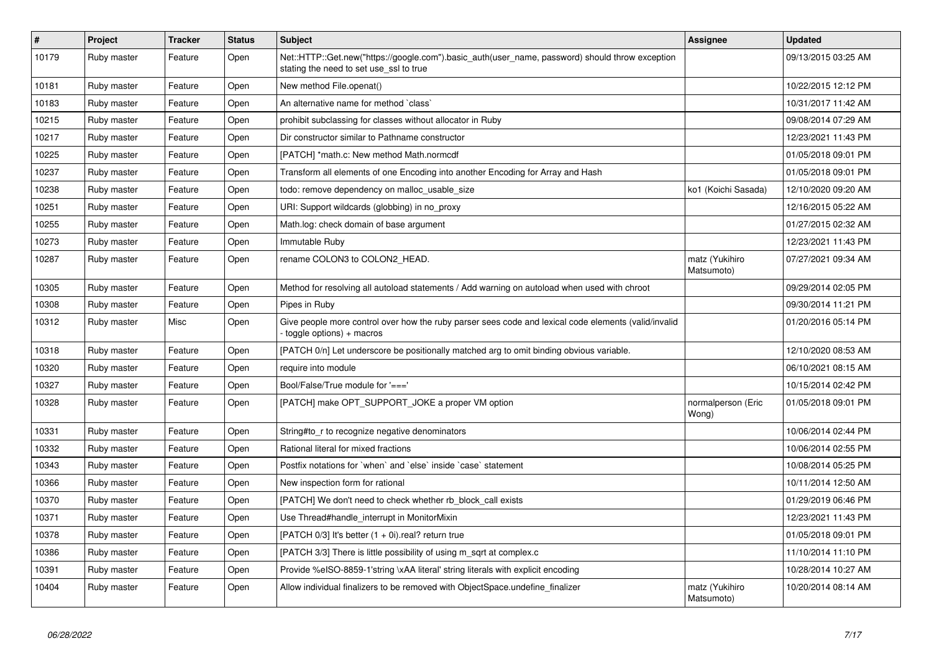| $\vert$ # | <b>Project</b> | <b>Tracker</b> | <b>Status</b> | <b>Subject</b>                                                                                                                             | Assignee                     | <b>Updated</b>      |
|-----------|----------------|----------------|---------------|--------------------------------------------------------------------------------------------------------------------------------------------|------------------------------|---------------------|
| 10179     | Ruby master    | Feature        | Open          | Net::HTTP::Get.new("https://google.com").basic_auth(user_name, password) should throw exception<br>stating the need to set use_ssl to true |                              | 09/13/2015 03:25 AM |
| 10181     | Ruby master    | Feature        | Open          | New method File.openat()                                                                                                                   |                              | 10/22/2015 12:12 PM |
| 10183     | Ruby master    | Feature        | Open          | An alternative name for method `class`                                                                                                     |                              | 10/31/2017 11:42 AM |
| 10215     | Ruby master    | Feature        | Open          | prohibit subclassing for classes without allocator in Ruby                                                                                 |                              | 09/08/2014 07:29 AM |
| 10217     | Ruby master    | Feature        | Open          | Dir constructor similar to Pathname constructor                                                                                            |                              | 12/23/2021 11:43 PM |
| 10225     | Ruby master    | Feature        | Open          | [PATCH] *math.c: New method Math.normcdf                                                                                                   |                              | 01/05/2018 09:01 PM |
| 10237     | Ruby master    | Feature        | Open          | Transform all elements of one Encoding into another Encoding for Array and Hash                                                            |                              | 01/05/2018 09:01 PM |
| 10238     | Ruby master    | Feature        | Open          | todo: remove dependency on malloc usable size                                                                                              | ko1 (Koichi Sasada)          | 12/10/2020 09:20 AM |
| 10251     | Ruby master    | Feature        | Open          | URI: Support wildcards (globbing) in no_proxy                                                                                              |                              | 12/16/2015 05:22 AM |
| 10255     | Ruby master    | Feature        | Open          | Math.log: check domain of base argument                                                                                                    |                              | 01/27/2015 02:32 AM |
| 10273     | Ruby master    | Feature        | Open          | Immutable Ruby                                                                                                                             |                              | 12/23/2021 11:43 PM |
| 10287     | Ruby master    | Feature        | Open          | rename COLON3 to COLON2 HEAD.                                                                                                              | matz (Yukihiro<br>Matsumoto) | 07/27/2021 09:34 AM |
| 10305     | Ruby master    | Feature        | Open          | Method for resolving all autoload statements / Add warning on autoload when used with chroot                                               |                              | 09/29/2014 02:05 PM |
| 10308     | Ruby master    | Feature        | Open          | Pipes in Ruby                                                                                                                              |                              | 09/30/2014 11:21 PM |
| 10312     | Ruby master    | Misc           | Open          | Give people more control over how the ruby parser sees code and lexical code elements (valid/invalid<br>toggle options) + macros           |                              | 01/20/2016 05:14 PM |
| 10318     | Ruby master    | Feature        | Open          | [PATCH 0/n] Let underscore be positionally matched arg to omit binding obvious variable.                                                   |                              | 12/10/2020 08:53 AM |
| 10320     | Ruby master    | Feature        | Open          | require into module                                                                                                                        |                              | 06/10/2021 08:15 AM |
| 10327     | Ruby master    | Feature        | Open          | Bool/False/True module for $'=='$                                                                                                          |                              | 10/15/2014 02:42 PM |
| 10328     | Ruby master    | Feature        | Open          | [PATCH] make OPT SUPPORT JOKE a proper VM option                                                                                           | normalperson (Eric<br>Wong)  | 01/05/2018 09:01 PM |
| 10331     | Ruby master    | Feature        | Open          | String#to r to recognize negative denominators                                                                                             |                              | 10/06/2014 02:44 PM |
| 10332     | Ruby master    | Feature        | Open          | Rational literal for mixed fractions                                                                                                       |                              | 10/06/2014 02:55 PM |
| 10343     | Ruby master    | Feature        | Open          | Postfix notations for 'when' and 'else' inside 'case' statement                                                                            |                              | 10/08/2014 05:25 PM |
| 10366     | Ruby master    | Feature        | Open          | New inspection form for rational                                                                                                           |                              | 10/11/2014 12:50 AM |
| 10370     | Ruby master    | Feature        | Open          | [PATCH] We don't need to check whether rb_block_call exists                                                                                |                              | 01/29/2019 06:46 PM |
| 10371     | Ruby master    | Feature        | Open          | Use Thread#handle_interrupt in MonitorMixin                                                                                                |                              | 12/23/2021 11:43 PM |
| 10378     | Ruby master    | Feature        | Open          | [PATCH $0/3$ ] It's better $(1 + 0i)$ .real? return true                                                                                   |                              | 01/05/2018 09:01 PM |
| 10386     | Ruby master    | Feature        | Open          | [PATCH 3/3] There is little possibility of using m sqrt at complex.c                                                                       |                              | 11/10/2014 11:10 PM |
| 10391     | Ruby master    | Feature        | Open          | Provide %eISO-8859-1'string \xAA literal' string literals with explicit encoding                                                           |                              | 10/28/2014 10:27 AM |
| 10404     | Ruby master    | Feature        | Open          | Allow individual finalizers to be removed with ObjectSpace.undefine_finalizer                                                              | matz (Yukihiro<br>Matsumoto) | 10/20/2014 08:14 AM |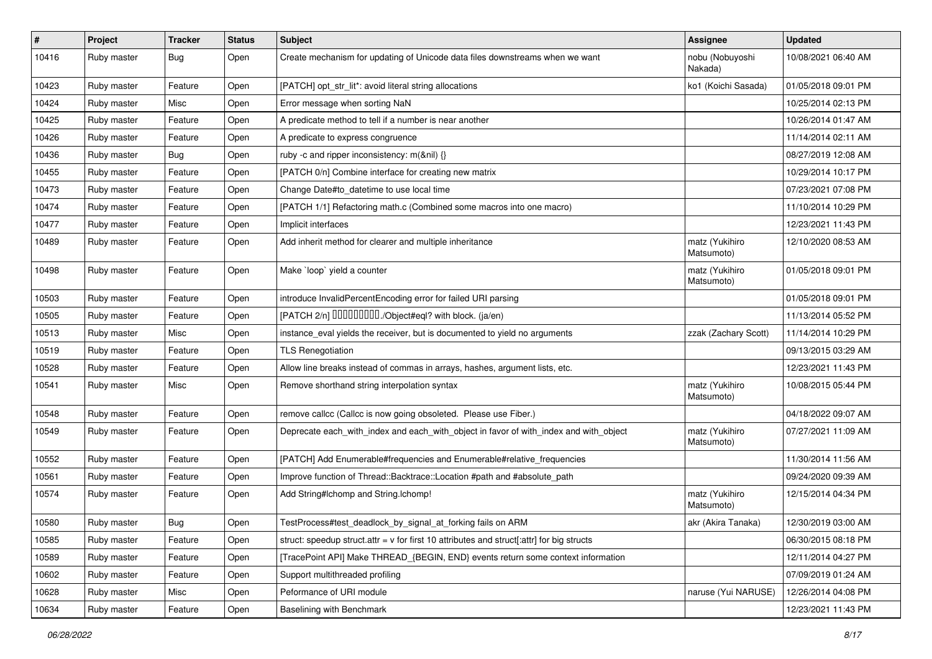| $\vert$ # | Project     | <b>Tracker</b> | <b>Status</b> | Subject                                                                                   | Assignee                     | <b>Updated</b>      |
|-----------|-------------|----------------|---------------|-------------------------------------------------------------------------------------------|------------------------------|---------------------|
| 10416     | Ruby master | <b>Bug</b>     | Open          | Create mechanism for updating of Unicode data files downstreams when we want              | nobu (Nobuyoshi<br>Nakada)   | 10/08/2021 06:40 AM |
| 10423     | Ruby master | Feature        | Open          | [PATCH] opt_str_lit*: avoid literal string allocations                                    | ko1 (Koichi Sasada)          | 01/05/2018 09:01 PM |
| 10424     | Ruby master | Misc           | Open          | Error message when sorting NaN                                                            |                              | 10/25/2014 02:13 PM |
| 10425     | Ruby master | Feature        | Open          | A predicate method to tell if a number is near another                                    |                              | 10/26/2014 01:47 AM |
| 10426     | Ruby master | Feature        | Open          | A predicate to express congruence                                                         |                              | 11/14/2014 02:11 AM |
| 10436     | Ruby master | Bug            | Open          | ruby -c and ripper inconsistency: m(&nil) {}                                              |                              | 08/27/2019 12:08 AM |
| 10455     | Ruby master | Feature        | Open          | [PATCH 0/n] Combine interface for creating new matrix                                     |                              | 10/29/2014 10:17 PM |
| 10473     | Ruby master | Feature        | Open          | Change Date#to_datetime to use local time                                                 |                              | 07/23/2021 07:08 PM |
| 10474     | Ruby master | Feature        | Open          | [PATCH 1/1] Refactoring math.c (Combined some macros into one macro)                      |                              | 11/10/2014 10:29 PM |
| 10477     | Ruby master | Feature        | Open          | Implicit interfaces                                                                       |                              | 12/23/2021 11:43 PM |
| 10489     | Ruby master | Feature        | Open          | Add inherit method for clearer and multiple inheritance                                   | matz (Yukihiro<br>Matsumoto) | 12/10/2020 08:53 AM |
| 10498     | Ruby master | Feature        | Open          | Make `loop` yield a counter                                                               | matz (Yukihiro<br>Matsumoto) | 01/05/2018 09:01 PM |
| 10503     | Ruby master | Feature        | Open          | introduce InvalidPercentEncoding error for failed URI parsing                             |                              | 01/05/2018 09:01 PM |
| 10505     | Ruby master | Feature        | Open          | [PATCH 2/n] DDDDDDDD./Object#eql? with block. (ja/en)                                     |                              | 11/13/2014 05:52 PM |
| 10513     | Ruby master | Misc           | Open          | instance_eval yields the receiver, but is documented to yield no arguments                | zzak (Zachary Scott)         | 11/14/2014 10:29 PM |
| 10519     | Ruby master | Feature        | Open          | <b>TLS Renegotiation</b>                                                                  |                              | 09/13/2015 03:29 AM |
| 10528     | Ruby master | Feature        | Open          | Allow line breaks instead of commas in arrays, hashes, argument lists, etc.               |                              | 12/23/2021 11:43 PM |
| 10541     | Ruby master | Misc           | Open          | Remove shorthand string interpolation syntax                                              | matz (Yukihiro<br>Matsumoto) | 10/08/2015 05:44 PM |
| 10548     | Ruby master | Feature        | Open          | remove callcc (Callcc is now going obsoleted. Please use Fiber.)                          |                              | 04/18/2022 09:07 AM |
| 10549     | Ruby master | Feature        | Open          | Deprecate each_with_index and each_with_object in favor of with_index and with_object     | matz (Yukihiro<br>Matsumoto) | 07/27/2021 11:09 AM |
| 10552     | Ruby master | Feature        | Open          | [PATCH] Add Enumerable#frequencies and Enumerable#relative_frequencies                    |                              | 11/30/2014 11:56 AM |
| 10561     | Ruby master | Feature        | Open          | Improve function of Thread::Backtrace::Location #path and #absolute_path                  |                              | 09/24/2020 09:39 AM |
| 10574     | Ruby master | Feature        | Open          | Add String#Ichomp and String.Ichomp!                                                      | matz (Yukihiro<br>Matsumoto) | 12/15/2014 04:34 PM |
| 10580     | Ruby master | Bug            | Open          | TestProcess#test_deadlock_by_signal_at_forking fails on ARM                               | akr (Akira Tanaka)           | 12/30/2019 03:00 AM |
| 10585     | Ruby master | Feature        | Open          | struct: speedup struct.attr = v for first 10 attributes and struct[:attr] for big structs |                              | 06/30/2015 08:18 PM |
| 10589     | Ruby master | Feature        | Open          | [TracePoint API] Make THREAD {BEGIN, END} events return some context information          |                              | 12/11/2014 04:27 PM |
| 10602     | Ruby master | Feature        | Open          | Support multithreaded profiling                                                           |                              | 07/09/2019 01:24 AM |
| 10628     | Ruby master | Misc           | Open          | Peformance of URI module                                                                  | naruse (Yui NARUSE)          | 12/26/2014 04:08 PM |
| 10634     | Ruby master | Feature        | Open          | Baselining with Benchmark                                                                 |                              | 12/23/2021 11:43 PM |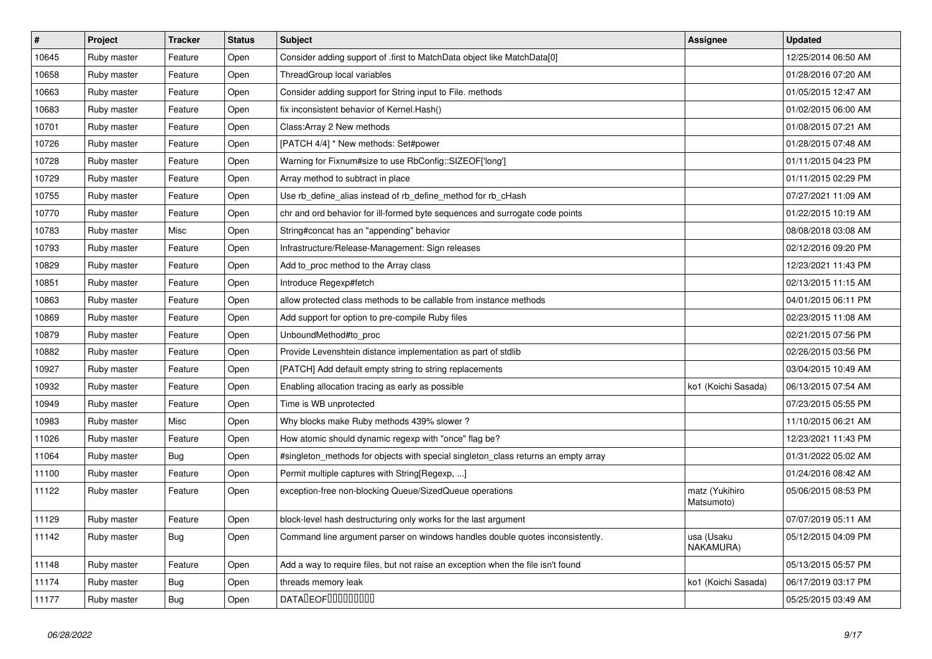| $\vert$ # | Project     | <b>Tracker</b> | <b>Status</b> | <b>Subject</b>                                                                     | <b>Assignee</b>              | <b>Updated</b>      |
|-----------|-------------|----------------|---------------|------------------------------------------------------------------------------------|------------------------------|---------------------|
| 10645     | Ruby master | Feature        | Open          | Consider adding support of .first to MatchData object like MatchData[0]            |                              | 12/25/2014 06:50 AM |
| 10658     | Ruby master | Feature        | Open          | ThreadGroup local variables                                                        |                              | 01/28/2016 07:20 AM |
| 10663     | Ruby master | Feature        | Open          | Consider adding support for String input to File. methods                          |                              | 01/05/2015 12:47 AM |
| 10683     | Ruby master | Feature        | Open          | fix inconsistent behavior of Kernel. Hash()                                        |                              | 01/02/2015 06:00 AM |
| 10701     | Ruby master | Feature        | Open          | Class: Array 2 New methods                                                         |                              | 01/08/2015 07:21 AM |
| 10726     | Ruby master | Feature        | Open          | [PATCH 4/4] * New methods: Set#power                                               |                              | 01/28/2015 07:48 AM |
| 10728     | Ruby master | Feature        | Open          | Warning for Fixnum#size to use RbConfig::SIZEOF['long']                            |                              | 01/11/2015 04:23 PM |
| 10729     | Ruby master | Feature        | Open          | Array method to subtract in place                                                  |                              | 01/11/2015 02:29 PM |
| 10755     | Ruby master | Feature        | Open          | Use rb_define_alias instead of rb_define_method for rb_cHash                       |                              | 07/27/2021 11:09 AM |
| 10770     | Ruby master | Feature        | Open          | chr and ord behavior for ill-formed byte sequences and surrogate code points       |                              | 01/22/2015 10:19 AM |
| 10783     | Ruby master | Misc           | Open          | String#concat has an "appending" behavior                                          |                              | 08/08/2018 03:08 AM |
| 10793     | Ruby master | Feature        | Open          | Infrastructure/Release-Management: Sign releases                                   |                              | 02/12/2016 09:20 PM |
| 10829     | Ruby master | Feature        | Open          | Add to_proc method to the Array class                                              |                              | 12/23/2021 11:43 PM |
| 10851     | Ruby master | Feature        | Open          | Introduce Regexp#fetch                                                             |                              | 02/13/2015 11:15 AM |
| 10863     | Ruby master | Feature        | Open          | allow protected class methods to be callable from instance methods                 |                              | 04/01/2015 06:11 PM |
| 10869     | Ruby master | Feature        | Open          | Add support for option to pre-compile Ruby files                                   |                              | 02/23/2015 11:08 AM |
| 10879     | Ruby master | Feature        | Open          | UnboundMethod#to_proc                                                              |                              | 02/21/2015 07:56 PM |
| 10882     | Ruby master | Feature        | Open          | Provide Levenshtein distance implementation as part of stdlib                      |                              | 02/26/2015 03:56 PM |
| 10927     | Ruby master | Feature        | Open          | [PATCH] Add default empty string to string replacements                            |                              | 03/04/2015 10:49 AM |
| 10932     | Ruby master | Feature        | Open          | Enabling allocation tracing as early as possible                                   | ko1 (Koichi Sasada)          | 06/13/2015 07:54 AM |
| 10949     | Ruby master | Feature        | Open          | Time is WB unprotected                                                             |                              | 07/23/2015 05:55 PM |
| 10983     | Ruby master | Misc           | Open          | Why blocks make Ruby methods 439% slower?                                          |                              | 11/10/2015 06:21 AM |
| 11026     | Ruby master | Feature        | Open          | How atomic should dynamic regexp with "once" flag be?                              |                              | 12/23/2021 11:43 PM |
| 11064     | Ruby master | <b>Bug</b>     | Open          | #singleton_methods for objects with special singleton_class returns an empty array |                              | 01/31/2022 05:02 AM |
| 11100     | Ruby master | Feature        | Open          | Permit multiple captures with String[Regexp, ]                                     |                              | 01/24/2016 08:42 AM |
| 11122     | Ruby master | Feature        | Open          | exception-free non-blocking Queue/SizedQueue operations                            | matz (Yukihiro<br>Matsumoto) | 05/06/2015 08:53 PM |
| 11129     | Ruby master | Feature        | Open          | block-level hash destructuring only works for the last argument                    |                              | 07/07/2019 05:11 AM |
| 11142     | Ruby master | <b>Bug</b>     | Open          | Command line argument parser on windows handles double quotes inconsistently.      | usa (Usaku<br>NAKAMURA)      | 05/12/2015 04:09 PM |
| 11148     | Ruby master | Feature        | Open          | Add a way to require files, but not raise an exception when the file isn't found   |                              | 05/13/2015 05:57 PM |
| 11174     | Ruby master | <b>Bug</b>     | Open          | threads memory leak                                                                | ko1 (Koichi Sasada)          | 06/17/2019 03:17 PM |
| 11177     | Ruby master | <b>Bug</b>     | Open          | <b>DATALEOFILILILILILI</b>                                                         |                              | 05/25/2015 03:49 AM |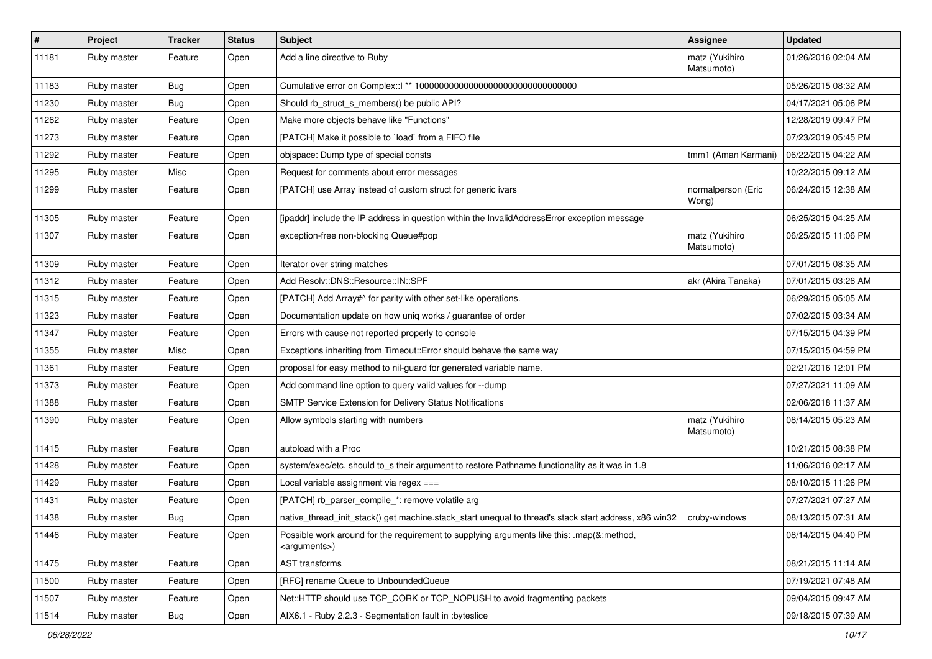| $\vert$ # | Project     | <b>Tracker</b> | <b>Status</b> | Subject                                                                                                               | Assignee                     | <b>Updated</b>      |
|-----------|-------------|----------------|---------------|-----------------------------------------------------------------------------------------------------------------------|------------------------------|---------------------|
| 11181     | Ruby master | Feature        | Open          | Add a line directive to Ruby                                                                                          | matz (Yukihiro<br>Matsumoto) | 01/26/2016 02:04 AM |
| 11183     | Ruby master | <b>Bug</b>     | Open          |                                                                                                                       |                              | 05/26/2015 08:32 AM |
| 11230     | Ruby master | <b>Bug</b>     | Open          | Should rb_struct_s_members() be public API?                                                                           |                              | 04/17/2021 05:06 PM |
| 11262     | Ruby master | Feature        | Open          | Make more objects behave like "Functions"                                                                             |                              | 12/28/2019 09:47 PM |
| 11273     | Ruby master | Feature        | Open          | [PATCH] Make it possible to `load` from a FIFO file                                                                   |                              | 07/23/2019 05:45 PM |
| 11292     | Ruby master | Feature        | Open          | objspace: Dump type of special consts                                                                                 | tmm1 (Aman Karmani)          | 06/22/2015 04:22 AM |
| 11295     | Ruby master | Misc           | Open          | Request for comments about error messages                                                                             |                              | 10/22/2015 09:12 AM |
| 11299     | Ruby master | Feature        | Open          | [PATCH] use Array instead of custom struct for generic ivars                                                          | normalperson (Eric<br>Wong)  | 06/24/2015 12:38 AM |
| 11305     | Ruby master | Feature        | Open          | [ipaddr] include the IP address in question within the InvalidAddressError exception message                          |                              | 06/25/2015 04:25 AM |
| 11307     | Ruby master | Feature        | Open          | exception-free non-blocking Queue#pop                                                                                 | matz (Yukihiro<br>Matsumoto) | 06/25/2015 11:06 PM |
| 11309     | Ruby master | Feature        | Open          | Iterator over string matches                                                                                          |                              | 07/01/2015 08:35 AM |
| 11312     | Ruby master | Feature        | Open          | Add Resolv::DNS::Resource::IN::SPF                                                                                    | akr (Akira Tanaka)           | 07/01/2015 03:26 AM |
| 11315     | Ruby master | Feature        | Open          | [PATCH] Add Array#^ for parity with other set-like operations.                                                        |                              | 06/29/2015 05:05 AM |
| 11323     | Ruby master | Feature        | Open          | Documentation update on how uniq works / guarantee of order                                                           |                              | 07/02/2015 03:34 AM |
| 11347     | Ruby master | Feature        | Open          | Errors with cause not reported properly to console                                                                    |                              | 07/15/2015 04:39 PM |
| 11355     | Ruby master | Misc           | Open          | Exceptions inheriting from Timeout:: Error should behave the same way                                                 |                              | 07/15/2015 04:59 PM |
| 11361     | Ruby master | Feature        | Open          | proposal for easy method to nil-guard for generated variable name.                                                    |                              | 02/21/2016 12:01 PM |
| 11373     | Ruby master | Feature        | Open          | Add command line option to query valid values for --dump                                                              |                              | 07/27/2021 11:09 AM |
| 11388     | Ruby master | Feature        | Open          | SMTP Service Extension for Delivery Status Notifications                                                              |                              | 02/06/2018 11:37 AM |
| 11390     | Ruby master | Feature        | Open          | Allow symbols starting with numbers                                                                                   | matz (Yukihiro<br>Matsumoto) | 08/14/2015 05:23 AM |
| 11415     | Ruby master | Feature        | Open          | autoload with a Proc                                                                                                  |                              | 10/21/2015 08:38 PM |
| 11428     | Ruby master | Feature        | Open          | system/exec/etc. should to_s their argument to restore Pathname functionality as it was in 1.8                        |                              | 11/06/2016 02:17 AM |
| 11429     | Ruby master | Feature        | Open          | Local variable assignment via regex $==$                                                                              |                              | 08/10/2015 11:26 PM |
| 11431     | Ruby master | Feature        | Open          | [PATCH] rb_parser_compile_*: remove volatile arg                                                                      |                              | 07/27/2021 07:27 AM |
| 11438     | Ruby master | <b>Bug</b>     | Open          | native thread init stack() get machine.stack_start unequal to thread's stack start address, x86 win32                 | cruby-windows                | 08/13/2015 07:31 AM |
| 11446     | Ruby master | Feature        | Open          | Possible work around for the requirement to supplying arguments like this: .map(&:method,<br><arguments>)</arguments> |                              | 08/14/2015 04:40 PM |
| 11475     | Ruby master | Feature        | Open          | AST transforms                                                                                                        |                              | 08/21/2015 11:14 AM |
| 11500     | Ruby master | Feature        | Open          | [RFC] rename Queue to UnboundedQueue                                                                                  |                              | 07/19/2021 07:48 AM |
| 11507     | Ruby master | Feature        | Open          | Net::HTTP should use TCP_CORK or TCP_NOPUSH to avoid fragmenting packets                                              |                              | 09/04/2015 09:47 AM |
| 11514     | Ruby master | Bug            | Open          | AIX6.1 - Ruby 2.2.3 - Segmentation fault in :byteslice                                                                |                              | 09/18/2015 07:39 AM |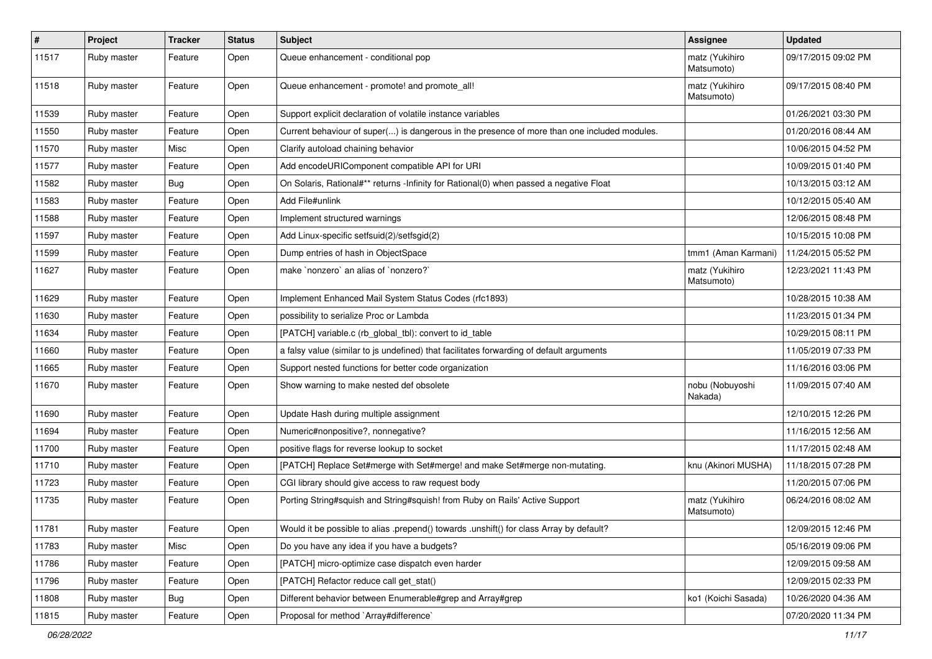| $\vert$ # | Project     | <b>Tracker</b> | <b>Status</b> | <b>Subject</b>                                                                               | <b>Assignee</b>              | <b>Updated</b>      |
|-----------|-------------|----------------|---------------|----------------------------------------------------------------------------------------------|------------------------------|---------------------|
| 11517     | Ruby master | Feature        | Open          | Queue enhancement - conditional pop                                                          | matz (Yukihiro<br>Matsumoto) | 09/17/2015 09:02 PM |
| 11518     | Ruby master | Feature        | Open          | Queue enhancement - promote! and promote all!                                                | matz (Yukihiro<br>Matsumoto) | 09/17/2015 08:40 PM |
| 11539     | Ruby master | Feature        | Open          | Support explicit declaration of volatile instance variables                                  |                              | 01/26/2021 03:30 PM |
| 11550     | Ruby master | Feature        | Open          | Current behaviour of super() is dangerous in the presence of more than one included modules. |                              | 01/20/2016 08:44 AM |
| 11570     | Ruby master | Misc           | Open          | Clarify autoload chaining behavior                                                           |                              | 10/06/2015 04:52 PM |
| 11577     | Ruby master | Feature        | Open          | Add encodeURIComponent compatible API for URI                                                |                              | 10/09/2015 01:40 PM |
| 11582     | Ruby master | <b>Bug</b>     | Open          | On Solaris, Rational#** returns -Infinity for Rational(0) when passed a negative Float       |                              | 10/13/2015 03:12 AM |
| 11583     | Ruby master | Feature        | Open          | Add File#unlink                                                                              |                              | 10/12/2015 05:40 AM |
| 11588     | Ruby master | Feature        | Open          | Implement structured warnings                                                                |                              | 12/06/2015 08:48 PM |
| 11597     | Ruby master | Feature        | Open          | Add Linux-specific setfsuid(2)/setfsgid(2)                                                   |                              | 10/15/2015 10:08 PM |
| 11599     | Ruby master | Feature        | Open          | Dump entries of hash in ObjectSpace                                                          | tmm1 (Aman Karmani)          | 11/24/2015 05:52 PM |
| 11627     | Ruby master | Feature        | Open          | make `nonzero` an alias of `nonzero?`                                                        | matz (Yukihiro<br>Matsumoto) | 12/23/2021 11:43 PM |
| 11629     | Ruby master | Feature        | Open          | Implement Enhanced Mail System Status Codes (rfc1893)                                        |                              | 10/28/2015 10:38 AM |
| 11630     | Ruby master | Feature        | Open          | possibility to serialize Proc or Lambda                                                      |                              | 11/23/2015 01:34 PM |
| 11634     | Ruby master | Feature        | Open          | [PATCH] variable.c (rb_global_tbl): convert to id_table                                      |                              | 10/29/2015 08:11 PM |
| 11660     | Ruby master | Feature        | Open          | a falsy value (similar to js undefined) that facilitates forwarding of default arguments     |                              | 11/05/2019 07:33 PM |
| 11665     | Ruby master | Feature        | Open          | Support nested functions for better code organization                                        |                              | 11/16/2016 03:06 PM |
| 11670     | Ruby master | Feature        | Open          | Show warning to make nested def obsolete                                                     | nobu (Nobuyoshi<br>Nakada)   | 11/09/2015 07:40 AM |
| 11690     | Ruby master | Feature        | Open          | Update Hash during multiple assignment                                                       |                              | 12/10/2015 12:26 PM |
| 11694     | Ruby master | Feature        | Open          | Numeric#nonpositive?, nonnegative?                                                           |                              | 11/16/2015 12:56 AM |
| 11700     | Ruby master | Feature        | Open          | positive flags for reverse lookup to socket                                                  |                              | 11/17/2015 02:48 AM |
| 11710     | Ruby master | Feature        | Open          | [PATCH] Replace Set#merge with Set#merge! and make Set#merge non-mutating.                   | knu (Akinori MUSHA)          | 11/18/2015 07:28 PM |
| 11723     | Ruby master | Feature        | Open          | CGI library should give access to raw request body                                           |                              | 11/20/2015 07:06 PM |
| 11735     | Ruby master | Feature        | Open          | Porting String#squish and String#squish! from Ruby on Rails' Active Support                  | matz (Yukihiro<br>Matsumoto) | 06/24/2016 08:02 AM |
| 11781     | Ruby master | Feature        | Open          | Would it be possible to alias .prepend() towards .unshift() for class Array by default?      |                              | 12/09/2015 12:46 PM |
| 11783     | Ruby master | Misc           | Open          | Do you have any idea if you have a budgets?                                                  |                              | 05/16/2019 09:06 PM |
| 11786     | Ruby master | Feature        | Open          | [PATCH] micro-optimize case dispatch even harder                                             |                              | 12/09/2015 09:58 AM |
| 11796     | Ruby master | Feature        | Open          | [PATCH] Refactor reduce call get_stat()                                                      |                              | 12/09/2015 02:33 PM |
| 11808     | Ruby master | Bug            | Open          | Different behavior between Enumerable#grep and Array#grep                                    | ko1 (Koichi Sasada)          | 10/26/2020 04:36 AM |
| 11815     | Ruby master | Feature        | Open          | Proposal for method `Array#difference`                                                       |                              | 07/20/2020 11:34 PM |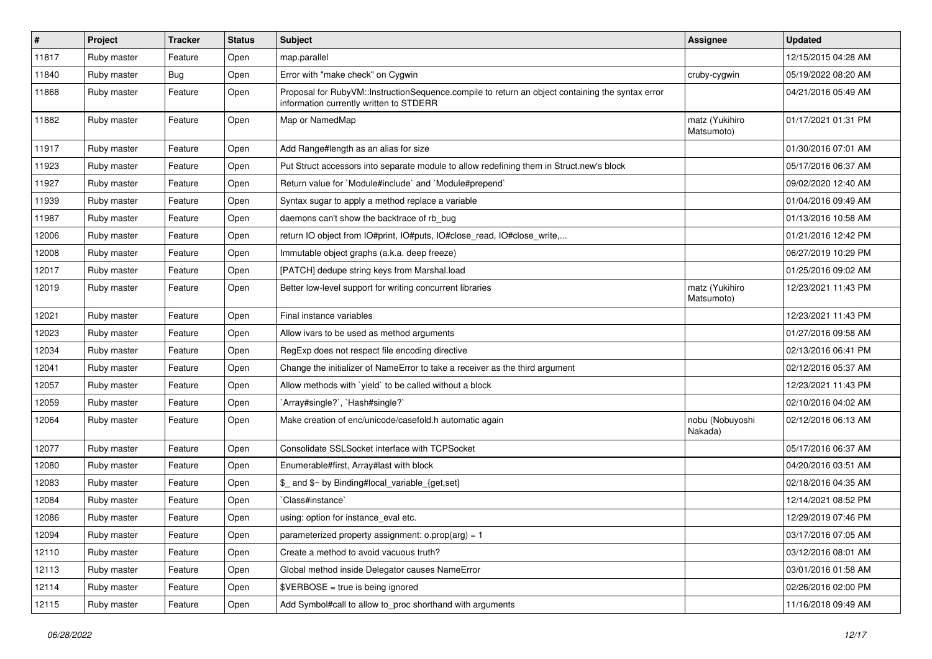| $\sharp$ | Project     | <b>Tracker</b> | <b>Status</b> | <b>Subject</b>                                                                                                                              | <b>Assignee</b>              | <b>Updated</b>      |
|----------|-------------|----------------|---------------|---------------------------------------------------------------------------------------------------------------------------------------------|------------------------------|---------------------|
| 11817    | Ruby master | Feature        | Open          | map.parallel                                                                                                                                |                              | 12/15/2015 04:28 AM |
| 11840    | Ruby master | Bug            | Open          | Error with "make check" on Cygwin                                                                                                           | cruby-cygwin                 | 05/19/2022 08:20 AM |
| 11868    | Ruby master | Feature        | Open          | Proposal for RubyVM::InstructionSequence.compile to return an object containing the syntax error<br>information currently written to STDERR |                              | 04/21/2016 05:49 AM |
| 11882    | Ruby master | Feature        | Open          | Map or NamedMap                                                                                                                             | matz (Yukihiro<br>Matsumoto) | 01/17/2021 01:31 PM |
| 11917    | Ruby master | Feature        | Open          | Add Range#length as an alias for size                                                                                                       |                              | 01/30/2016 07:01 AM |
| 11923    | Ruby master | Feature        | Open          | Put Struct accessors into separate module to allow redefining them in Struct.new's block                                                    |                              | 05/17/2016 06:37 AM |
| 11927    | Ruby master | Feature        | Open          | Return value for `Module#include` and `Module#prepend`                                                                                      |                              | 09/02/2020 12:40 AM |
| 11939    | Ruby master | Feature        | Open          | Syntax sugar to apply a method replace a variable                                                                                           |                              | 01/04/2016 09:49 AM |
| 11987    | Ruby master | Feature        | Open          | daemons can't show the backtrace of rb_bug                                                                                                  |                              | 01/13/2016 10:58 AM |
| 12006    | Ruby master | Feature        | Open          | return IO object from IO#print, IO#puts, IO#close_read, IO#close_write,                                                                     |                              | 01/21/2016 12:42 PM |
| 12008    | Ruby master | Feature        | Open          | Immutable object graphs (a.k.a. deep freeze)                                                                                                |                              | 06/27/2019 10:29 PM |
| 12017    | Ruby master | Feature        | Open          | [PATCH] dedupe string keys from Marshal.load                                                                                                |                              | 01/25/2016 09:02 AM |
| 12019    | Ruby master | Feature        | Open          | Better low-level support for writing concurrent libraries                                                                                   | matz (Yukihiro<br>Matsumoto) | 12/23/2021 11:43 PM |
| 12021    | Ruby master | Feature        | Open          | Final instance variables                                                                                                                    |                              | 12/23/2021 11:43 PM |
| 12023    | Ruby master | Feature        | Open          | Allow ivars to be used as method arguments                                                                                                  |                              | 01/27/2016 09:58 AM |
| 12034    | Ruby master | Feature        | Open          | RegExp does not respect file encoding directive                                                                                             |                              | 02/13/2016 06:41 PM |
| 12041    | Ruby master | Feature        | Open          | Change the initializer of NameError to take a receiver as the third argument                                                                |                              | 02/12/2016 05:37 AM |
| 12057    | Ruby master | Feature        | Open          | Allow methods with 'yield' to be called without a block                                                                                     |                              | 12/23/2021 11:43 PM |
| 12059    | Ruby master | Feature        | Open          | 'Array#single?', 'Hash#single?'                                                                                                             |                              | 02/10/2016 04:02 AM |
| 12064    | Ruby master | Feature        | Open          | Make creation of enc/unicode/casefold.h automatic again                                                                                     | nobu (Nobuyoshi<br>Nakada)   | 02/12/2016 06:13 AM |
| 12077    | Ruby master | Feature        | Open          | Consolidate SSLSocket interface with TCPSocket                                                                                              |                              | 05/17/2016 06:37 AM |
| 12080    | Ruby master | Feature        | Open          | Enumerable#first, Array#last with block                                                                                                     |                              | 04/20/2016 03:51 AM |
| 12083    | Ruby master | Feature        | Open          | \$_ and \$~ by Binding#local_variable_{get,set}                                                                                             |                              | 02/18/2016 04:35 AM |
| 12084    | Ruby master | Feature        | Open          | Class#instance`                                                                                                                             |                              | 12/14/2021 08:52 PM |
| 12086    | Ruby master | Feature        | Open          | using: option for instance_eval etc.                                                                                                        |                              | 12/29/2019 07:46 PM |
| 12094    | Ruby master | Feature        | Open          | parameterized property assignment: $o.prop(arg) = 1$                                                                                        |                              | 03/17/2016 07:05 AM |
| 12110    | Ruby master | Feature        | Open          | Create a method to avoid vacuous truth?                                                                                                     |                              | 03/12/2016 08:01 AM |
| 12113    | Ruby master | Feature        | Open          | Global method inside Delegator causes NameError                                                                                             |                              | 03/01/2016 01:58 AM |
| 12114    | Ruby master | Feature        | Open          | \$VERBOSE = true is being ignored                                                                                                           |                              | 02/26/2016 02:00 PM |
| 12115    | Ruby master | Feature        | Open          | Add Symbol#call to allow to_proc shorthand with arguments                                                                                   |                              | 11/16/2018 09:49 AM |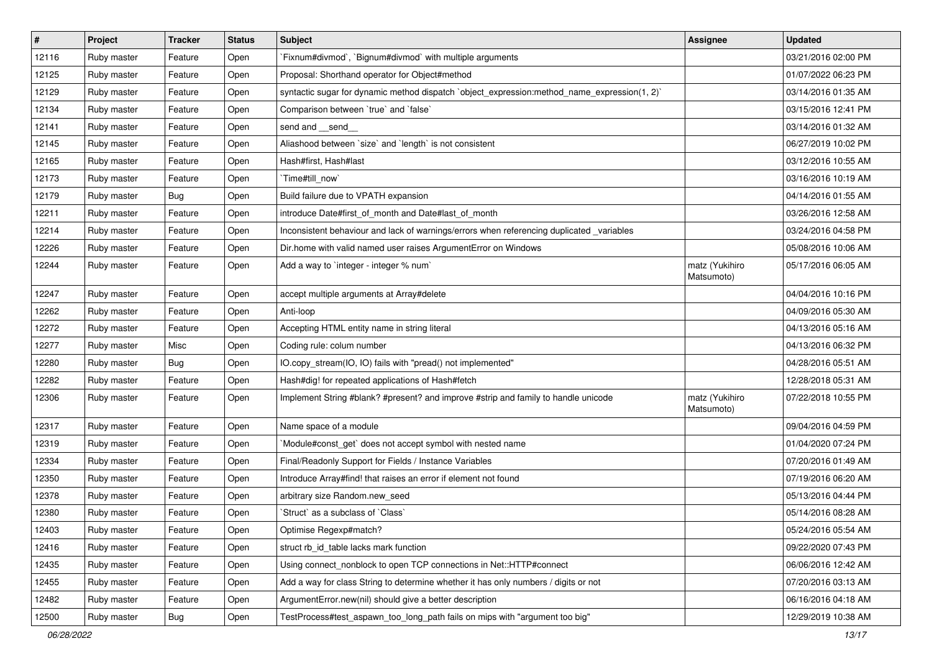| $\vert$ # | Project     | <b>Tracker</b> | <b>Status</b> | Subject                                                                                      | <b>Assignee</b>              | Updated             |
|-----------|-------------|----------------|---------------|----------------------------------------------------------------------------------------------|------------------------------|---------------------|
| 12116     | Ruby master | Feature        | Open          | `Fixnum#divmod`, `Bignum#divmod` with multiple arguments                                     |                              | 03/21/2016 02:00 PM |
| 12125     | Ruby master | Feature        | Open          | Proposal: Shorthand operator for Object#method                                               |                              | 01/07/2022 06:23 PM |
| 12129     | Ruby master | Feature        | Open          | syntactic sugar for dynamic method dispatch `object_expression:method_name_expression(1, 2)` |                              | 03/14/2016 01:35 AM |
| 12134     | Ruby master | Feature        | Open          | Comparison between 'true' and 'false'                                                        |                              | 03/15/2016 12:41 PM |
| 12141     | Ruby master | Feature        | Open          | send and __send_                                                                             |                              | 03/14/2016 01:32 AM |
| 12145     | Ruby master | Feature        | Open          | Aliashood between `size` and `length` is not consistent                                      |                              | 06/27/2019 10:02 PM |
| 12165     | Ruby master | Feature        | Open          | Hash#first. Hash#last                                                                        |                              | 03/12/2016 10:55 AM |
| 12173     | Ruby master | Feature        | Open          | `Time#till_now`                                                                              |                              | 03/16/2016 10:19 AM |
| 12179     | Ruby master | Bug            | Open          | Build failure due to VPATH expansion                                                         |                              | 04/14/2016 01:55 AM |
| 12211     | Ruby master | Feature        | Open          | introduce Date#first_of_month and Date#last_of_month                                         |                              | 03/26/2016 12:58 AM |
| 12214     | Ruby master | Feature        | Open          | Inconsistent behaviour and lack of warnings/errors when referencing duplicated _variables    |                              | 03/24/2016 04:58 PM |
| 12226     | Ruby master | Feature        | Open          | Dir.home with valid named user raises ArgumentError on Windows                               |                              | 05/08/2016 10:06 AM |
| 12244     | Ruby master | Feature        | Open          | Add a way to 'integer - integer % num'                                                       | matz (Yukihiro<br>Matsumoto) | 05/17/2016 06:05 AM |
| 12247     | Ruby master | Feature        | Open          | accept multiple arguments at Array#delete                                                    |                              | 04/04/2016 10:16 PM |
| 12262     | Ruby master | Feature        | Open          | Anti-loop                                                                                    |                              | 04/09/2016 05:30 AM |
| 12272     | Ruby master | Feature        | Open          | Accepting HTML entity name in string literal                                                 |                              | 04/13/2016 05:16 AM |
| 12277     | Ruby master | Misc           | Open          | Coding rule: colum number                                                                    |                              | 04/13/2016 06:32 PM |
| 12280     | Ruby master | <b>Bug</b>     | Open          | IO.copy_stream(IO, IO) fails with "pread() not implemented"                                  |                              | 04/28/2016 05:51 AM |
| 12282     | Ruby master | Feature        | Open          | Hash#dig! for repeated applications of Hash#fetch                                            |                              | 12/28/2018 05:31 AM |
| 12306     | Ruby master | Feature        | Open          | Implement String #blank? #present? and improve #strip and family to handle unicode           | matz (Yukihiro<br>Matsumoto) | 07/22/2018 10:55 PM |
| 12317     | Ruby master | Feature        | Open          | Name space of a module                                                                       |                              | 09/04/2016 04:59 PM |
| 12319     | Ruby master | Feature        | Open          | Module#const_get` does not accept symbol with nested name                                    |                              | 01/04/2020 07:24 PM |
| 12334     | Ruby master | Feature        | Open          | Final/Readonly Support for Fields / Instance Variables                                       |                              | 07/20/2016 01:49 AM |
| 12350     | Ruby master | Feature        | Open          | Introduce Array#find! that raises an error if element not found                              |                              | 07/19/2016 06:20 AM |
| 12378     | Ruby master | Feature        | Open          | arbitrary size Random.new_seed                                                               |                              | 05/13/2016 04:44 PM |
| 12380     | Ruby master | Feature        | Open          | 'Struct' as a subclass of 'Class'                                                            |                              | 05/14/2016 08:28 AM |
| 12403     | Ruby master | Feature        | Open          | Optimise Regexp#match?                                                                       |                              | 05/24/2016 05:54 AM |
| 12416     | Ruby master | Feature        | Open          | struct rb id table lacks mark function                                                       |                              | 09/22/2020 07:43 PM |
| 12435     | Ruby master | Feature        | Open          | Using connect nonblock to open TCP connections in Net::HTTP#connect                          |                              | 06/06/2016 12:42 AM |
| 12455     | Ruby master | Feature        | Open          | Add a way for class String to determine whether it has only numbers / digits or not          |                              | 07/20/2016 03:13 AM |
| 12482     | Ruby master | Feature        | Open          | ArgumentError.new(nil) should give a better description                                      |                              | 06/16/2016 04:18 AM |
| 12500     | Ruby master | <b>Bug</b>     | Open          | TestProcess#test_aspawn_too_long_path fails on mips with "argument too big"                  |                              | 12/29/2019 10:38 AM |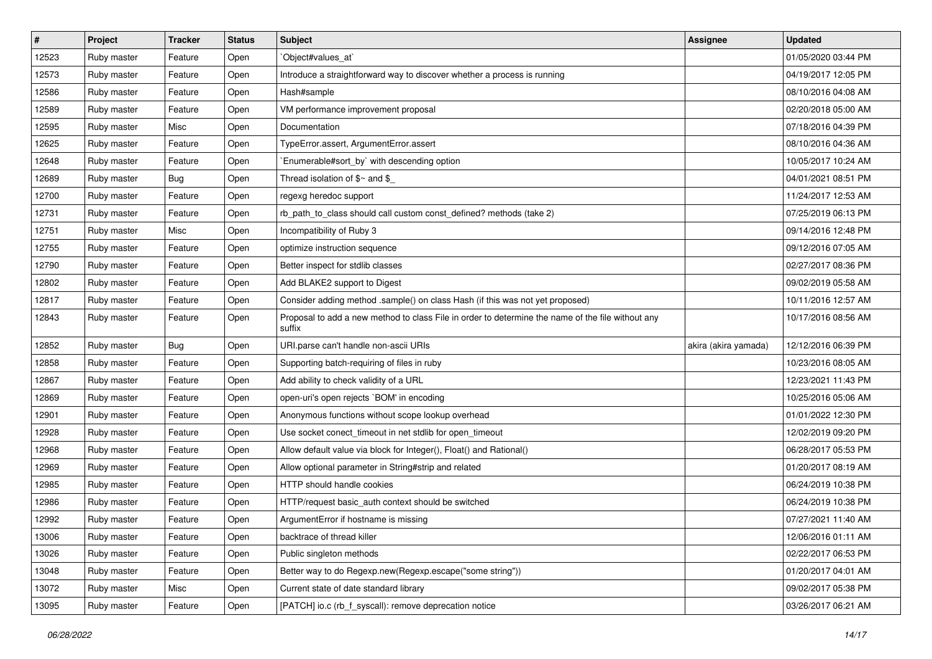| $\vert$ # | Project     | <b>Tracker</b> | <b>Status</b> | Subject                                                                                                     | <b>Assignee</b>      | <b>Updated</b>      |
|-----------|-------------|----------------|---------------|-------------------------------------------------------------------------------------------------------------|----------------------|---------------------|
| 12523     | Ruby master | Feature        | Open          | Object#values_at`                                                                                           |                      | 01/05/2020 03:44 PM |
| 12573     | Ruby master | Feature        | Open          | Introduce a straightforward way to discover whether a process is running                                    |                      | 04/19/2017 12:05 PM |
| 12586     | Ruby master | Feature        | Open          | Hash#sample                                                                                                 |                      | 08/10/2016 04:08 AM |
| 12589     | Ruby master | Feature        | Open          | VM performance improvement proposal                                                                         |                      | 02/20/2018 05:00 AM |
| 12595     | Ruby master | Misc           | Open          | Documentation                                                                                               |                      | 07/18/2016 04:39 PM |
| 12625     | Ruby master | Feature        | Open          | TypeError.assert, ArgumentError.assert                                                                      |                      | 08/10/2016 04:36 AM |
| 12648     | Ruby master | Feature        | Open          | Enumerable#sort_by` with descending option                                                                  |                      | 10/05/2017 10:24 AM |
| 12689     | Ruby master | <b>Bug</b>     | Open          | Thread isolation of $$~$ and $$$                                                                            |                      | 04/01/2021 08:51 PM |
| 12700     | Ruby master | Feature        | Open          | regexg heredoc support                                                                                      |                      | 11/24/2017 12:53 AM |
| 12731     | Ruby master | Feature        | Open          | rb_path_to_class should call custom const_defined? methods (take 2)                                         |                      | 07/25/2019 06:13 PM |
| 12751     | Ruby master | Misc           | Open          | Incompatibility of Ruby 3                                                                                   |                      | 09/14/2016 12:48 PM |
| 12755     | Ruby master | Feature        | Open          | optimize instruction sequence                                                                               |                      | 09/12/2016 07:05 AM |
| 12790     | Ruby master | Feature        | Open          | Better inspect for stdlib classes                                                                           |                      | 02/27/2017 08:36 PM |
| 12802     | Ruby master | Feature        | Open          | Add BLAKE2 support to Digest                                                                                |                      | 09/02/2019 05:58 AM |
| 12817     | Ruby master | Feature        | Open          | Consider adding method .sample() on class Hash (if this was not yet proposed)                               |                      | 10/11/2016 12:57 AM |
| 12843     | Ruby master | Feature        | Open          | Proposal to add a new method to class File in order to determine the name of the file without any<br>suffix |                      | 10/17/2016 08:56 AM |
| 12852     | Ruby master | <b>Bug</b>     | Open          | URI.parse can't handle non-ascii URIs                                                                       | akira (akira yamada) | 12/12/2016 06:39 PM |
| 12858     | Ruby master | Feature        | Open          | Supporting batch-requiring of files in ruby                                                                 |                      | 10/23/2016 08:05 AM |
| 12867     | Ruby master | Feature        | Open          | Add ability to check validity of a URL                                                                      |                      | 12/23/2021 11:43 PM |
| 12869     | Ruby master | Feature        | Open          | open-uri's open rejects `BOM' in encoding                                                                   |                      | 10/25/2016 05:06 AM |
| 12901     | Ruby master | Feature        | Open          | Anonymous functions without scope lookup overhead                                                           |                      | 01/01/2022 12:30 PM |
| 12928     | Ruby master | Feature        | Open          | Use socket conect_timeout in net stdlib for open_timeout                                                    |                      | 12/02/2019 09:20 PM |
| 12968     | Ruby master | Feature        | Open          | Allow default value via block for Integer(), Float() and Rational()                                         |                      | 06/28/2017 05:53 PM |
| 12969     | Ruby master | Feature        | Open          | Allow optional parameter in String#strip and related                                                        |                      | 01/20/2017 08:19 AM |
| 12985     | Ruby master | Feature        | Open          | HTTP should handle cookies                                                                                  |                      | 06/24/2019 10:38 PM |
| 12986     | Ruby master | Feature        | Open          | HTTP/request basic_auth context should be switched                                                          |                      | 06/24/2019 10:38 PM |
| 12992     | Ruby master | Feature        | Open          | ArgumentError if hostname is missing                                                                        |                      | 07/27/2021 11:40 AM |
| 13006     | Ruby master | Feature        | Open          | backtrace of thread killer                                                                                  |                      | 12/06/2016 01:11 AM |
| 13026     | Ruby master | Feature        | Open          | Public singleton methods                                                                                    |                      | 02/22/2017 06:53 PM |
| 13048     | Ruby master | Feature        | Open          | Better way to do Regexp.new(Regexp.escape("some string"))                                                   |                      | 01/20/2017 04:01 AM |
| 13072     | Ruby master | Misc           | Open          | Current state of date standard library                                                                      |                      | 09/02/2017 05:38 PM |
| 13095     | Ruby master | Feature        | Open          | [PATCH] io.c (rb_f_syscall): remove deprecation notice                                                      |                      | 03/26/2017 06:21 AM |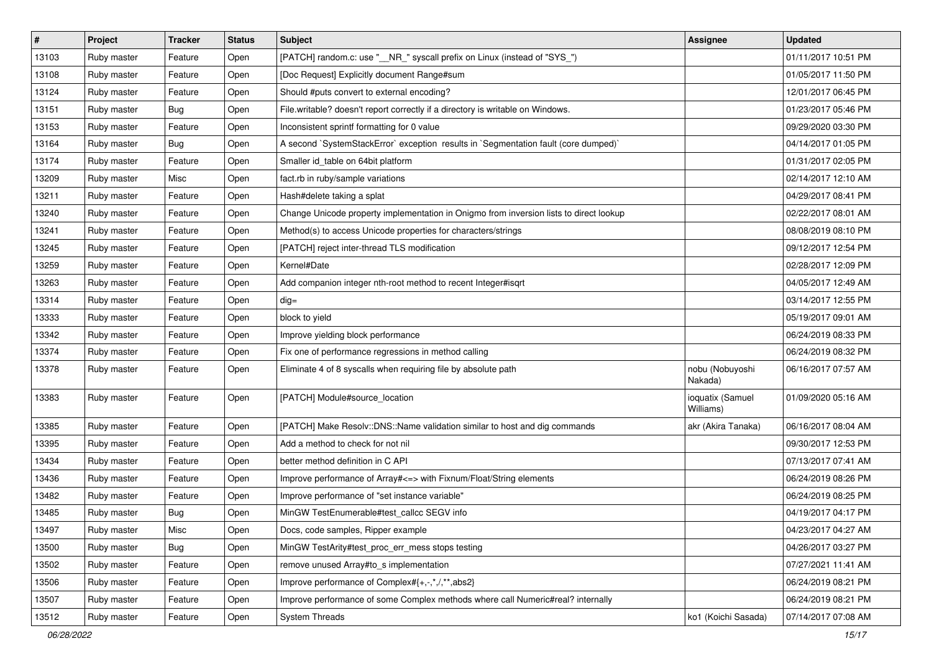| #     | Project     | <b>Tracker</b> | <b>Status</b> | Subject                                                                                | <b>Assignee</b>               | <b>Updated</b>      |
|-------|-------------|----------------|---------------|----------------------------------------------------------------------------------------|-------------------------------|---------------------|
| 13103 | Ruby master | Feature        | Open          | [PATCH] random.c: use "__NR_" syscall prefix on Linux (instead of "SYS_")              |                               | 01/11/2017 10:51 PM |
| 13108 | Ruby master | Feature        | Open          | [Doc Request] Explicitly document Range#sum                                            |                               | 01/05/2017 11:50 PM |
| 13124 | Ruby master | Feature        | Open          | Should #puts convert to external encoding?                                             |                               | 12/01/2017 06:45 PM |
| 13151 | Ruby master | Bug            | Open          | File.writable? doesn't report correctly if a directory is writable on Windows.         |                               | 01/23/2017 05:46 PM |
| 13153 | Ruby master | Feature        | Open          | Inconsistent sprintf formatting for 0 value                                            |                               | 09/29/2020 03:30 PM |
| 13164 | Ruby master | <b>Bug</b>     | Open          | A second `SystemStackError` exception results in `Segmentation fault (core dumped)`    |                               | 04/14/2017 01:05 PM |
| 13174 | Ruby master | Feature        | Open          | Smaller id table on 64bit platform                                                     |                               | 01/31/2017 02:05 PM |
| 13209 | Ruby master | Misc           | Open          | fact.rb in ruby/sample variations                                                      |                               | 02/14/2017 12:10 AM |
| 13211 | Ruby master | Feature        | Open          | Hash#delete taking a splat                                                             |                               | 04/29/2017 08:41 PM |
| 13240 | Ruby master | Feature        | Open          | Change Unicode property implementation in Onigmo from inversion lists to direct lookup |                               | 02/22/2017 08:01 AM |
| 13241 | Ruby master | Feature        | Open          | Method(s) to access Unicode properties for characters/strings                          |                               | 08/08/2019 08:10 PM |
| 13245 | Ruby master | Feature        | Open          | [PATCH] reject inter-thread TLS modification                                           |                               | 09/12/2017 12:54 PM |
| 13259 | Ruby master | Feature        | Open          | Kernel#Date                                                                            |                               | 02/28/2017 12:09 PM |
| 13263 | Ruby master | Feature        | Open          | Add companion integer nth-root method to recent Integer#isqrt                          |                               | 04/05/2017 12:49 AM |
| 13314 | Ruby master | Feature        | Open          | $dig =$                                                                                |                               | 03/14/2017 12:55 PM |
| 13333 | Ruby master | Feature        | Open          | block to yield                                                                         |                               | 05/19/2017 09:01 AM |
| 13342 | Ruby master | Feature        | Open          | Improve yielding block performance                                                     |                               | 06/24/2019 08:33 PM |
| 13374 | Ruby master | Feature        | Open          | Fix one of performance regressions in method calling                                   |                               | 06/24/2019 08:32 PM |
| 13378 | Ruby master | Feature        | Open          | Eliminate 4 of 8 syscalls when requiring file by absolute path                         | nobu (Nobuyoshi<br>Nakada)    | 06/16/2017 07:57 AM |
| 13383 | Ruby master | Feature        | Open          | [PATCH] Module#source_location                                                         | ioquatix (Samuel<br>Williams) | 01/09/2020 05:16 AM |
| 13385 | Ruby master | Feature        | Open          | [PATCH] Make Resolv::DNS::Name validation similar to host and dig commands             | akr (Akira Tanaka)            | 06/16/2017 08:04 AM |
| 13395 | Ruby master | Feature        | Open          | Add a method to check for not nil                                                      |                               | 09/30/2017 12:53 PM |
| 13434 | Ruby master | Feature        | Open          | better method definition in C API                                                      |                               | 07/13/2017 07:41 AM |
| 13436 | Ruby master | Feature        | Open          | Improve performance of Array# <= > with Fixnum/Float/String elements                   |                               | 06/24/2019 08:26 PM |
| 13482 | Ruby master | Feature        | Open          | Improve performance of "set instance variable"                                         |                               | 06/24/2019 08:25 PM |
| 13485 | Ruby master | <b>Bug</b>     | Open          | MinGW TestEnumerable#test callcc SEGV info                                             |                               | 04/19/2017 04:17 PM |
| 13497 | Ruby master | Misc           | Open          | Docs, code samples, Ripper example                                                     |                               | 04/23/2017 04:27 AM |
| 13500 | Ruby master | Bug            | Open          | MinGW TestArity#test_proc_err_mess stops testing                                       |                               | 04/26/2017 03:27 PM |
| 13502 | Ruby master | Feature        | Open          | remove unused Array#to_s implementation                                                |                               | 07/27/2021 11:41 AM |
| 13506 | Ruby master | Feature        | Open          | Improve performance of Complex#{+,-,*,/,**,abs2}                                       |                               | 06/24/2019 08:21 PM |
| 13507 | Ruby master | Feature        | Open          | Improve performance of some Complex methods where call Numeric#real? internally        |                               | 06/24/2019 08:21 PM |
| 13512 | Ruby master | Feature        | Open          | <b>System Threads</b>                                                                  | ko1 (Koichi Sasada)           | 07/14/2017 07:08 AM |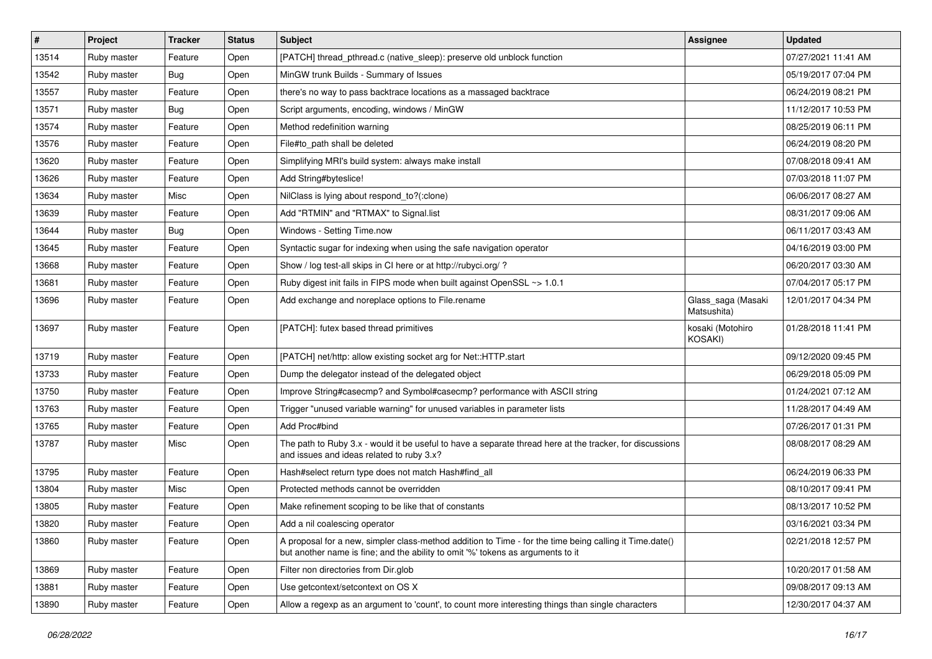| #     | Project     | <b>Tracker</b> | <b>Status</b> | Subject                                                                                                                                                                                    | <b>Assignee</b>                   | <b>Updated</b>      |
|-------|-------------|----------------|---------------|--------------------------------------------------------------------------------------------------------------------------------------------------------------------------------------------|-----------------------------------|---------------------|
| 13514 | Ruby master | Feature        | Open          | [PATCH] thread_pthread.c (native_sleep): preserve old unblock function                                                                                                                     |                                   | 07/27/2021 11:41 AM |
| 13542 | Ruby master | Bug            | Open          | MinGW trunk Builds - Summary of Issues                                                                                                                                                     |                                   | 05/19/2017 07:04 PM |
| 13557 | Ruby master | Feature        | Open          | there's no way to pass backtrace locations as a massaged backtrace                                                                                                                         |                                   | 06/24/2019 08:21 PM |
| 13571 | Ruby master | Bug            | Open          | Script arguments, encoding, windows / MinGW                                                                                                                                                |                                   | 11/12/2017 10:53 PM |
| 13574 | Ruby master | Feature        | Open          | Method redefinition warning                                                                                                                                                                |                                   | 08/25/2019 06:11 PM |
| 13576 | Ruby master | Feature        | Open          | File#to path shall be deleted                                                                                                                                                              |                                   | 06/24/2019 08:20 PM |
| 13620 | Ruby master | Feature        | Open          | Simplifying MRI's build system: always make install                                                                                                                                        |                                   | 07/08/2018 09:41 AM |
| 13626 | Ruby master | Feature        | Open          | Add String#byteslice!                                                                                                                                                                      |                                   | 07/03/2018 11:07 PM |
| 13634 | Ruby master | Misc           | Open          | NilClass is lying about respond_to?(:clone)                                                                                                                                                |                                   | 06/06/2017 08:27 AM |
| 13639 | Ruby master | Feature        | Open          | Add "RTMIN" and "RTMAX" to Signal.list                                                                                                                                                     |                                   | 08/31/2017 09:06 AM |
| 13644 | Ruby master | <b>Bug</b>     | Open          | Windows - Setting Time.now                                                                                                                                                                 |                                   | 06/11/2017 03:43 AM |
| 13645 | Ruby master | Feature        | Open          | Syntactic sugar for indexing when using the safe navigation operator                                                                                                                       |                                   | 04/16/2019 03:00 PM |
| 13668 | Ruby master | Feature        | Open          | Show / log test-all skips in CI here or at http://rubyci.org/?                                                                                                                             |                                   | 06/20/2017 03:30 AM |
| 13681 | Ruby master | Feature        | Open          | Ruby digest init fails in FIPS mode when built against OpenSSL ~> 1.0.1                                                                                                                    |                                   | 07/04/2017 05:17 PM |
| 13696 | Ruby master | Feature        | Open          | Add exchange and noreplace options to File.rename                                                                                                                                          | Glass_saga (Masaki<br>Matsushita) | 12/01/2017 04:34 PM |
| 13697 | Ruby master | Feature        | Open          | [PATCH]: futex based thread primitives                                                                                                                                                     | kosaki (Motohiro<br>KOSAKI)       | 01/28/2018 11:41 PM |
| 13719 | Ruby master | Feature        | Open          | [PATCH] net/http: allow existing socket arg for Net::HTTP.start                                                                                                                            |                                   | 09/12/2020 09:45 PM |
| 13733 | Ruby master | Feature        | Open          | Dump the delegator instead of the delegated object                                                                                                                                         |                                   | 06/29/2018 05:09 PM |
| 13750 | Ruby master | Feature        | Open          | Improve String#casecmp? and Symbol#casecmp? performance with ASCII string                                                                                                                  |                                   | 01/24/2021 07:12 AM |
| 13763 | Ruby master | Feature        | Open          | Trigger "unused variable warning" for unused variables in parameter lists                                                                                                                  |                                   | 11/28/2017 04:49 AM |
| 13765 | Ruby master | Feature        | Open          | Add Proc#bind                                                                                                                                                                              |                                   | 07/26/2017 01:31 PM |
| 13787 | Ruby master | Misc           | Open          | The path to Ruby 3.x - would it be useful to have a separate thread here at the tracker, for discussions<br>and issues and ideas related to ruby 3.x?                                      |                                   | 08/08/2017 08:29 AM |
| 13795 | Ruby master | Feature        | Open          | Hash#select return type does not match Hash#find_all                                                                                                                                       |                                   | 06/24/2019 06:33 PM |
| 13804 | Ruby master | Misc           | Open          | Protected methods cannot be overridden                                                                                                                                                     |                                   | 08/10/2017 09:41 PM |
| 13805 | Ruby master | Feature        | Open          | Make refinement scoping to be like that of constants                                                                                                                                       |                                   | 08/13/2017 10:52 PM |
| 13820 | Ruby master | Feature        | Open          | Add a nil coalescing operator                                                                                                                                                              |                                   | 03/16/2021 03:34 PM |
| 13860 | Ruby master | Feature        | Open          | A proposal for a new, simpler class-method addition to Time - for the time being calling it Time.date()<br>but another name is fine; and the ability to omit '%' tokens as arguments to it |                                   | 02/21/2018 12:57 PM |
| 13869 | Ruby master | Feature        | Open          | Filter non directories from Dir.glob                                                                                                                                                       |                                   | 10/20/2017 01:58 AM |
| 13881 | Ruby master | Feature        | Open          | Use getcontext/setcontext on OS X                                                                                                                                                          |                                   | 09/08/2017 09:13 AM |
| 13890 | Ruby master | Feature        | Open          | Allow a regexp as an argument to 'count', to count more interesting things than single characters                                                                                          |                                   | 12/30/2017 04:37 AM |